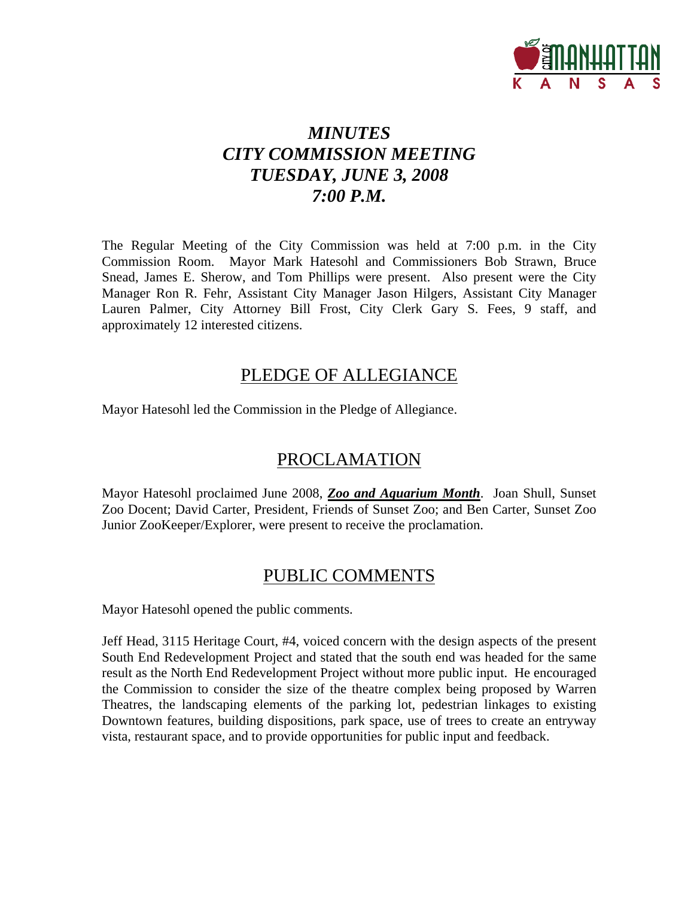

# *MINUTES CITY COMMISSION MEETING TUESDAY, JUNE 3, 2008 7:00 P.M.*

The Regular Meeting of the City Commission was held at 7:00 p.m. in the City Commission Room. Mayor Mark Hatesohl and Commissioners Bob Strawn, Bruce Snead, James E. Sherow, and Tom Phillips were present. Also present were the City Manager Ron R. Fehr, Assistant City Manager Jason Hilgers, Assistant City Manager Lauren Palmer, City Attorney Bill Frost, City Clerk Gary S. Fees, 9 staff, and approximately 12 interested citizens.

# PLEDGE OF ALLEGIANCE

Mayor Hatesohl led the Commission in the Pledge of Allegiance.

# PROCLAMATION

Mayor Hatesohl proclaimed June 2008, *Zoo and Aquarium Month*. Joan Shull, Sunset Zoo Docent; David Carter, President, Friends of Sunset Zoo; and Ben Carter, Sunset Zoo Junior ZooKeeper/Explorer, were present to receive the proclamation.

# PUBLIC COMMENTS

Mayor Hatesohl opened the public comments.

Jeff Head, 3115 Heritage Court, #4, voiced concern with the design aspects of the present South End Redevelopment Project and stated that the south end was headed for the same result as the North End Redevelopment Project without more public input. He encouraged the Commission to consider the size of the theatre complex being proposed by Warren Theatres, the landscaping elements of the parking lot, pedestrian linkages to existing Downtown features, building dispositions, park space, use of trees to create an entryway vista, restaurant space, and to provide opportunities for public input and feedback.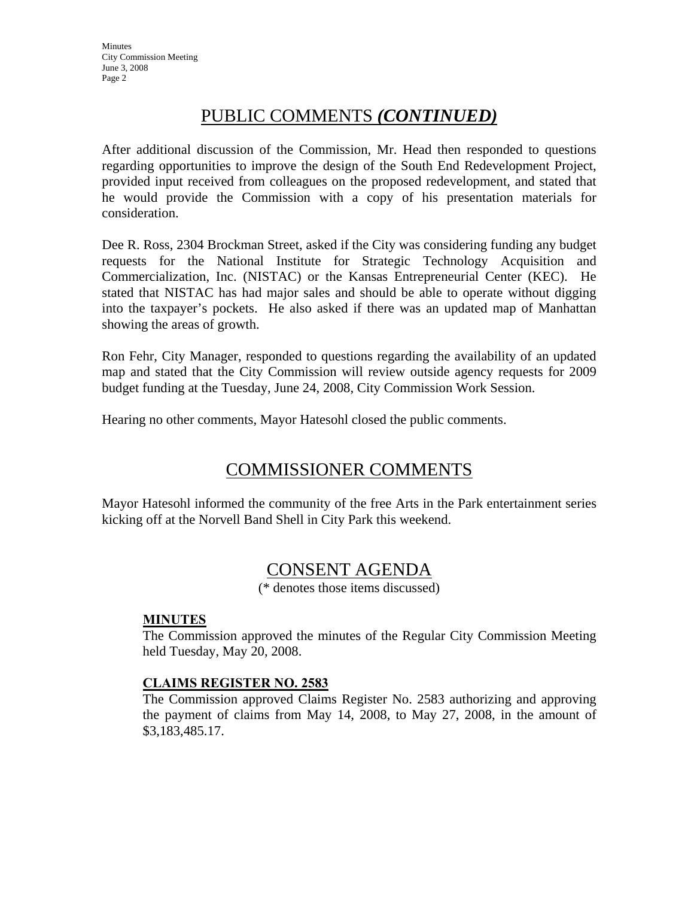# PUBLIC COMMENTS *(CONTINUED)*

After additional discussion of the Commission, Mr. Head then responded to questions regarding opportunities to improve the design of the South End Redevelopment Project, provided input received from colleagues on the proposed redevelopment, and stated that he would provide the Commission with a copy of his presentation materials for consideration.

Dee R. Ross, 2304 Brockman Street, asked if the City was considering funding any budget requests for the National Institute for Strategic Technology Acquisition and Commercialization, Inc. (NISTAC) or the Kansas Entrepreneurial Center (KEC). He stated that NISTAC has had major sales and should be able to operate without digging into the taxpayer's pockets. He also asked if there was an updated map of Manhattan showing the areas of growth.

Ron Fehr, City Manager, responded to questions regarding the availability of an updated map and stated that the City Commission will review outside agency requests for 2009 budget funding at the Tuesday, June 24, 2008, City Commission Work Session.

Hearing no other comments, Mayor Hatesohl closed the public comments.

# COMMISSIONER COMMENTS

Mayor Hatesohl informed the community of the free Arts in the Park entertainment series kicking off at the Norvell Band Shell in City Park this weekend.

# CONSENT AGENDA

(\* denotes those items discussed)

## **MINUTES**

The Commission approved the minutes of the Regular City Commission Meeting held Tuesday, May 20, 2008.

## **CLAIMS REGISTER NO. 2583**

The Commission approved Claims Register No. 2583 authorizing and approving the payment of claims from May 14, 2008, to May 27, 2008, in the amount of \$3,183,485.17.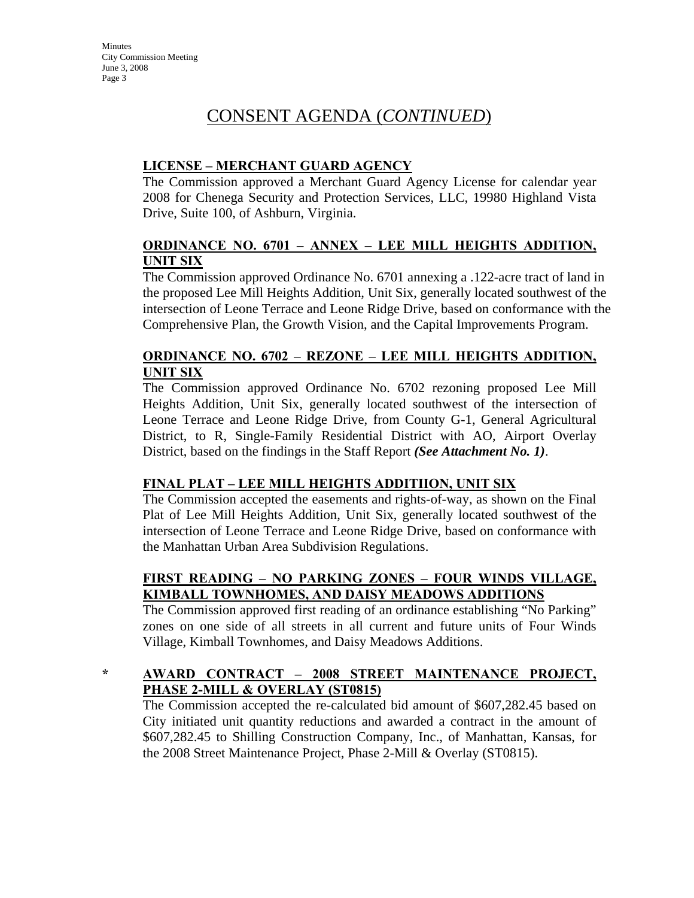# CONSENT AGENDA (*CONTINUED*)

## **LICENSE – MERCHANT GUARD AGENCY**

The Commission approved a Merchant Guard Agency License for calendar year 2008 for Chenega Security and Protection Services, LLC, 19980 Highland Vista Drive, Suite 100, of Ashburn, Virginia.

## **ORDINANCE NO. 6701 – ANNEX – LEE MILL HEIGHTS ADDITION, UNIT SIX**

The Commission approved Ordinance No. 6701 annexing a .122-acre tract of land in the proposed Lee Mill Heights Addition, Unit Six, generally located southwest of the intersection of Leone Terrace and Leone Ridge Drive, based on conformance with the Comprehensive Plan, the Growth Vision, and the Capital Improvements Program.

# **ORDINANCE NO. 6702 – REZONE – LEE MILL HEIGHTS ADDITION, UNIT SIX**

The Commission approved Ordinance No. 6702 rezoning proposed Lee Mill Heights Addition, Unit Six, generally located southwest of the intersection of Leone Terrace and Leone Ridge Drive, from County G-1, General Agricultural District, to R, Single-Family Residential District with AO, Airport Overlay District, based on the findings in the Staff Report *(See Attachment No. 1)*.

## **FINAL PLAT – LEE MILL HEIGHTS ADDITIION, UNIT SIX**

The Commission accepted the easements and rights-of-way, as shown on the Final Plat of Lee Mill Heights Addition, Unit Six, generally located southwest of the intersection of Leone Terrace and Leone Ridge Drive, based on conformance with the Manhattan Urban Area Subdivision Regulations.

## **FIRST READING – NO PARKING ZONES – FOUR WINDS VILLAGE, KIMBALL TOWNHOMES, AND DAISY MEADOWS ADDITIONS**

The Commission approved first reading of an ordinance establishing "No Parking" zones on one side of all streets in all current and future units of Four Winds Village, Kimball Townhomes, and Daisy Meadows Additions.

## **\* AWARD CONTRACT – 2008 STREET MAINTENANCE PROJECT, PHASE 2-MILL & OVERLAY (ST0815)**

The Commission accepted the re-calculated bid amount of \$607,282.45 based on City initiated unit quantity reductions and awarded a contract in the amount of \$607,282.45 to Shilling Construction Company, Inc., of Manhattan, Kansas, for the 2008 Street Maintenance Project, Phase 2-Mill & Overlay (ST0815).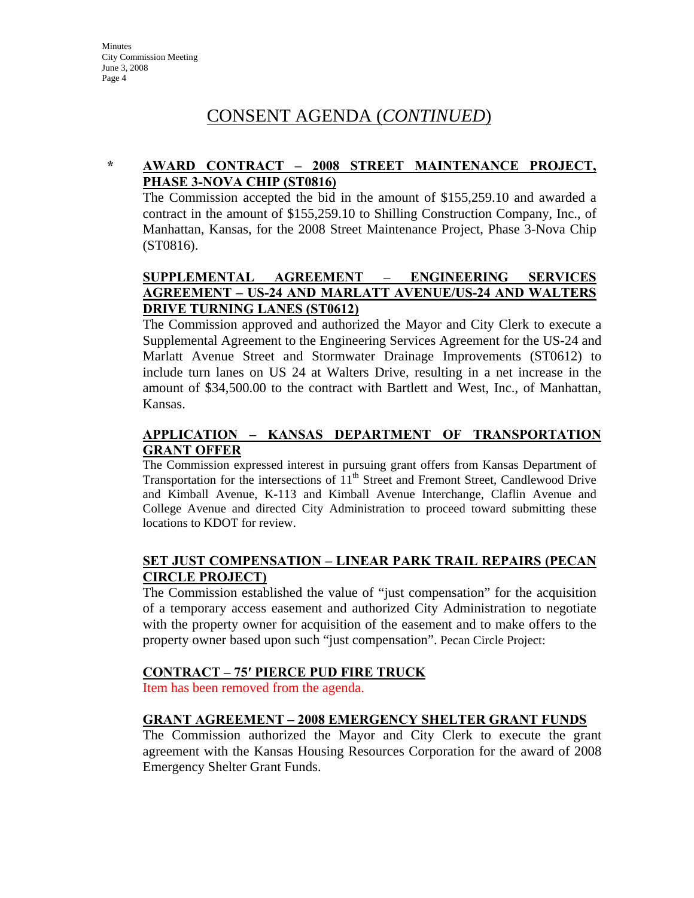# CONSENT AGENDA (*CONTINUED*)

# **\* AWARD CONTRACT – 2008 STREET MAINTENANCE PROJECT, PHASE 3-NOVA CHIP (ST0816)**

The Commission accepted the bid in the amount of \$155,259.10 and awarded a contract in the amount of \$155,259.10 to Shilling Construction Company, Inc., of Manhattan, Kansas, for the 2008 Street Maintenance Project, Phase 3-Nova Chip (ST0816).

# **SUPPLEMENTAL AGREEMENT – ENGINEERING SERVICES AGREEMENT – US-24 AND MARLATT AVENUE/US-24 AND WALTERS DRIVE TURNING LANES (ST0612)**

The Commission approved and authorized the Mayor and City Clerk to execute a Supplemental Agreement to the Engineering Services Agreement for the US-24 and Marlatt Avenue Street and Stormwater Drainage Improvements (ST0612) to include turn lanes on US 24 at Walters Drive, resulting in a net increase in the amount of \$34,500.00 to the contract with Bartlett and West, Inc., of Manhattan, Kansas.

# **APPLICATION – KANSAS DEPARTMENT OF TRANSPORTATION GRANT OFFER**

The Commission expressed interest in pursuing grant offers from Kansas Department of Transportation for the intersections of  $11<sup>th</sup>$  Street and Fremont Street, Candlewood Drive and Kimball Avenue, K-113 and Kimball Avenue Interchange, Claflin Avenue and College Avenue and directed City Administration to proceed toward submitting these locations to KDOT for review.

## **SET JUST COMPENSATION – LINEAR PARK TRAIL REPAIRS (PECAN CIRCLE PROJECT)**

The Commission established the value of "just compensation" for the acquisition of a temporary access easement and authorized City Administration to negotiate with the property owner for acquisition of the easement and to make offers to the property owner based upon such "just compensation". Pecan Circle Project:

## **CONTRACT – 75′ PIERCE PUD FIRE TRUCK**

Item has been removed from the agenda.

## **GRANT AGREEMENT – 2008 EMERGENCY SHELTER GRANT FUNDS**

The Commission authorized the Mayor and City Clerk to execute the grant agreement with the Kansas Housing Resources Corporation for the award of 2008 Emergency Shelter Grant Funds.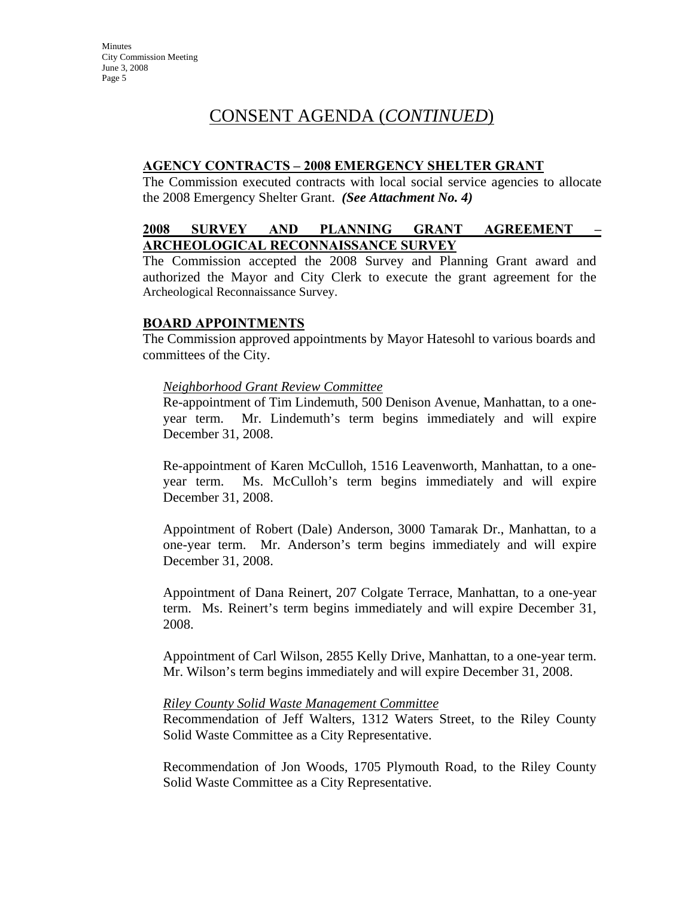# CONSENT AGENDA (*CONTINUED*)

#### **AGENCY CONTRACTS – 2008 EMERGENCY SHELTER GRANT**

The Commission executed contracts with local social service agencies to allocate the 2008 Emergency Shelter Grant. *(See Attachment No. 4)* 

## **2008 SURVEY AND PLANNING GRANT AGREEMENT – ARCHEOLOGICAL RECONNAISSANCE SURVEY**

The Commission accepted the 2008 Survey and Planning Grant award and authorized the Mayor and City Clerk to execute the grant agreement for the Archeological Reconnaissance Survey.

#### **BOARD APPOINTMENTS**

The Commission approved appointments by Mayor Hatesohl to various boards and committees of the City.

#### *Neighborhood Grant Review Committee*

Re-appointment of Tim Lindemuth, 500 Denison Avenue, Manhattan, to a oneyear term. Mr. Lindemuth's term begins immediately and will expire December 31, 2008.

Re-appointment of Karen McCulloh, 1516 Leavenworth, Manhattan, to a oneyear term. Ms. McCulloh's term begins immediately and will expire December 31, 2008.

Appointment of Robert (Dale) Anderson, 3000 Tamarak Dr., Manhattan, to a one-year term. Mr. Anderson's term begins immediately and will expire December 31, 2008.

Appointment of Dana Reinert, 207 Colgate Terrace, Manhattan, to a one-year term. Ms. Reinert's term begins immediately and will expire December 31, 2008.

Appointment of Carl Wilson, 2855 Kelly Drive, Manhattan, to a one-year term. Mr. Wilson's term begins immediately and will expire December 31, 2008.

#### *Riley County Solid Waste Management Committee*

Recommendation of Jeff Walters, 1312 Waters Street, to the Riley County Solid Waste Committee as a City Representative.

Recommendation of Jon Woods, 1705 Plymouth Road, to the Riley County Solid Waste Committee as a City Representative.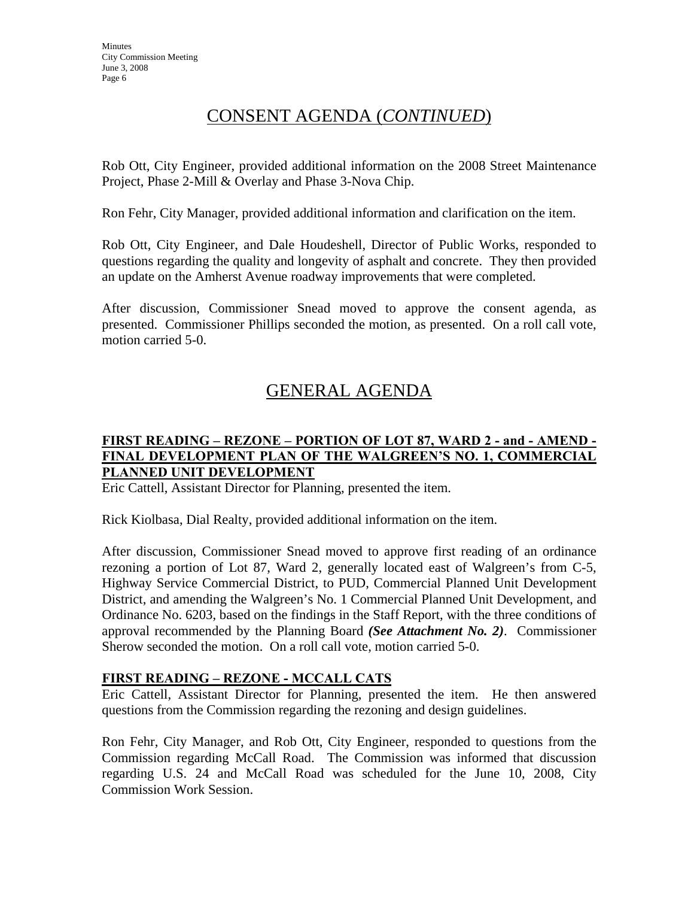# CONSENT AGENDA (*CONTINUED*)

Rob Ott, City Engineer, provided additional information on the 2008 Street Maintenance Project, Phase 2-Mill & Overlay and Phase 3-Nova Chip.

Ron Fehr, City Manager, provided additional information and clarification on the item.

Rob Ott, City Engineer, and Dale Houdeshell, Director of Public Works, responded to questions regarding the quality and longevity of asphalt and concrete. They then provided an update on the Amherst Avenue roadway improvements that were completed.

After discussion, Commissioner Snead moved to approve the consent agenda, as presented. Commissioner Phillips seconded the motion, as presented. On a roll call vote, motion carried 5-0.

# GENERAL AGENDA

# **FIRST READING – REZONE – PORTION OF LOT 87, WARD 2 - and - AMEND - FINAL DEVELOPMENT PLAN OF THE WALGREEN'S NO. 1, COMMERCIAL PLANNED UNIT DEVELOPMENT**

Eric Cattell, Assistant Director for Planning, presented the item.

Rick Kiolbasa, Dial Realty, provided additional information on the item.

After discussion, Commissioner Snead moved to approve first reading of an ordinance rezoning a portion of Lot 87, Ward 2, generally located east of Walgreen's from C-5, Highway Service Commercial District, to PUD, Commercial Planned Unit Development District, and amending the Walgreen's No. 1 Commercial Planned Unit Development, and Ordinance No. 6203, based on the findings in the Staff Report, with the three conditions of approval recommended by the Planning Board *(See Attachment No. 2)*. Commissioner Sherow seconded the motion. On a roll call vote, motion carried 5-0.

## **FIRST READING – REZONE - MCCALL CATS**

Eric Cattell, Assistant Director for Planning, presented the item. He then answered questions from the Commission regarding the rezoning and design guidelines.

Ron Fehr, City Manager, and Rob Ott, City Engineer, responded to questions from the Commission regarding McCall Road. The Commission was informed that discussion regarding U.S. 24 and McCall Road was scheduled for the June 10, 2008, City Commission Work Session.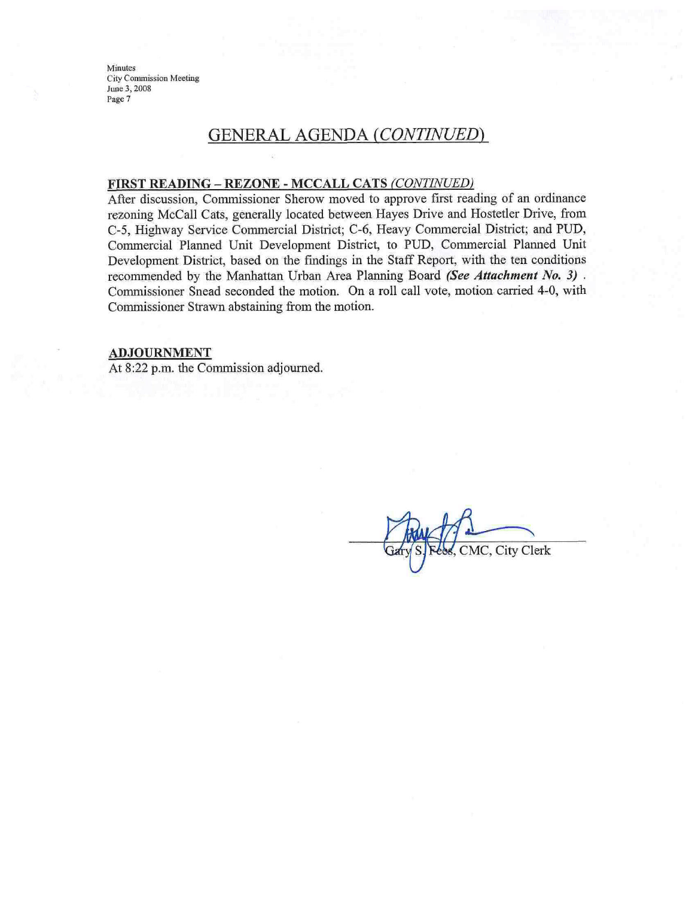# GENERAL AGENDA (CONTINUED)

#### FIRST READING - REZONE - MCCALL CATS (CONTINUED)

After discussion, Commissioner Sherow moved to approve first reading of an ordinance rezoning McCall Cats, generally located between Hayes Drive and Hostetler Drive, from C-5, Highway Service Commercial District; C-6, Heavy Commercial District; and PUD, Commercial Planned Unit Development District, to PUD, Commercial Planned Unit Development District, based on the findings in the Staff Report, with the ten conditions recommended by the Manhattan Urban Area Planning Board (See Attachment No. 3). Commissioner Snead seconded the motion. On a roll call vote, motion carried 4-0, with Commissioner Strawn abstaining from the motion.

#### **ADJOURNMENT**

At 8:22 p.m. the Commission adjourned.

CMC, City Clerk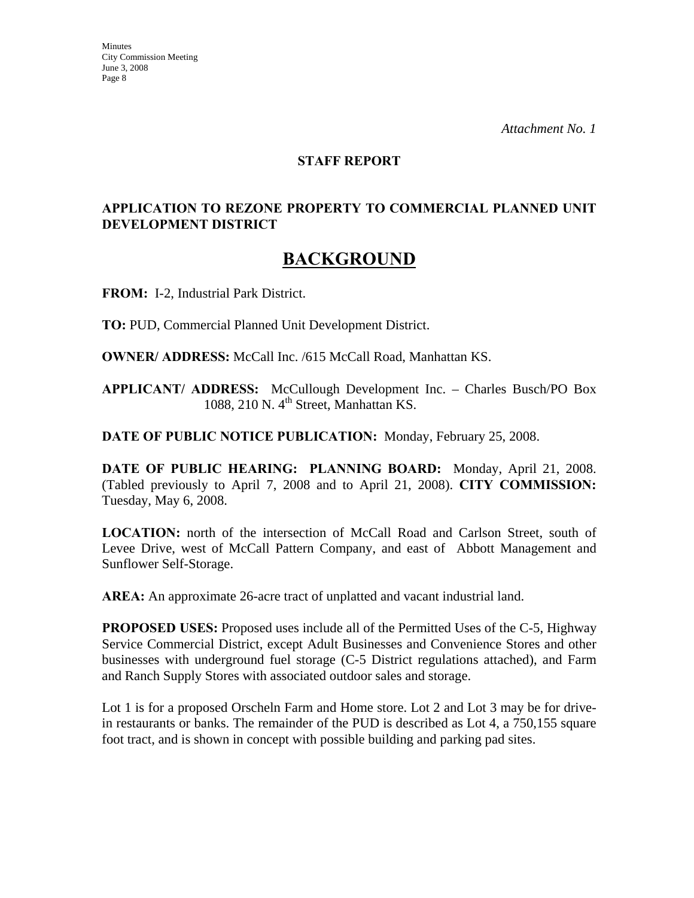#### **STAFF REPORT**

# **APPLICATION TO REZONE PROPERTY TO COMMERCIAL PLANNED UNIT DEVELOPMENT DISTRICT**

# **BACKGROUND**

**FROM:** I-2, Industrial Park District.

**TO:** PUD, Commercial Planned Unit Development District.

**OWNER/ ADDRESS:** McCall Inc. /615 McCall Road, Manhattan KS.

**APPLICANT/ ADDRESS:** McCullough Development Inc. – Charles Busch/PO Box 1088, 210 N.  $4<sup>th</sup>$  Street, Manhattan KS.

**DATE OF PUBLIC NOTICE PUBLICATION:** Monday, February 25, 2008.

**DATE OF PUBLIC HEARING: PLANNING BOARD:** Monday, April 21, 2008. (Tabled previously to April 7, 2008 and to April 21, 2008). **CITY COMMISSION:** Tuesday, May 6, 2008.

**LOCATION:** north of the intersection of McCall Road and Carlson Street, south of Levee Drive, west of McCall Pattern Company, and east of Abbott Management and Sunflower Self-Storage.

**AREA:** An approximate 26-acre tract of unplatted and vacant industrial land.

**PROPOSED USES:** Proposed uses include all of the Permitted Uses of the C-5, Highway Service Commercial District, except Adult Businesses and Convenience Stores and other businesses with underground fuel storage (C-5 District regulations attached), and Farm and Ranch Supply Stores with associated outdoor sales and storage.

Lot 1 is for a proposed Orscheln Farm and Home store. Lot 2 and Lot 3 may be for drivein restaurants or banks. The remainder of the PUD is described as Lot 4, a 750,155 square foot tract, and is shown in concept with possible building and parking pad sites.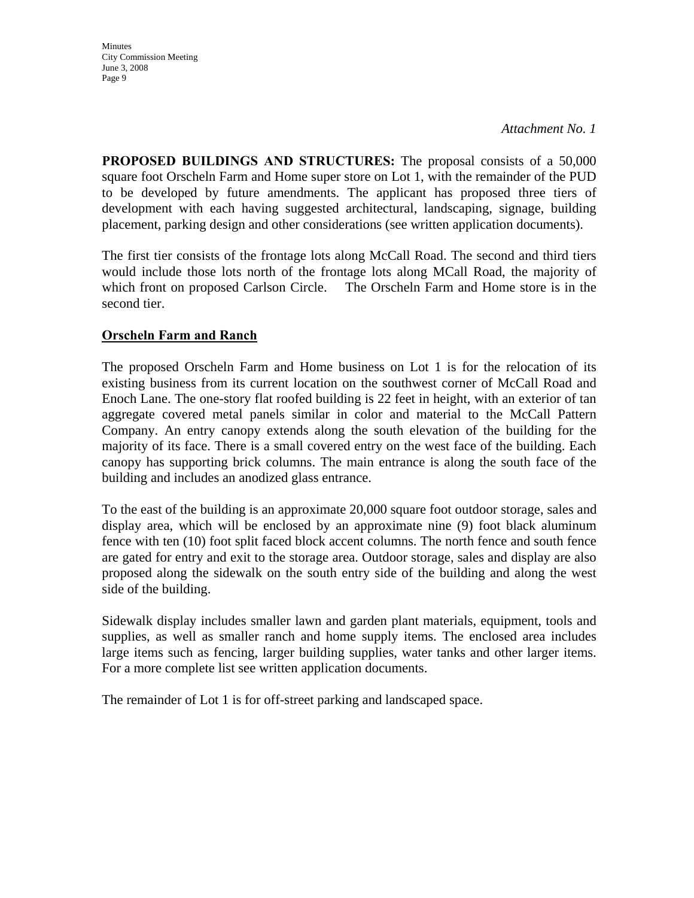**Minutes** City Commission Meeting June 3, 2008 Page 9

**PROPOSED BUILDINGS AND STRUCTURES:** The proposal consists of a 50,000 square foot Orscheln Farm and Home super store on Lot 1, with the remainder of the PUD to be developed by future amendments. The applicant has proposed three tiers of development with each having suggested architectural, landscaping, signage, building placement, parking design and other considerations (see written application documents).

The first tier consists of the frontage lots along McCall Road. The second and third tiers would include those lots north of the frontage lots along MCall Road, the majority of which front on proposed Carlson Circle. The Orscheln Farm and Home store is in the second tier.

# **Orscheln Farm and Ranch**

The proposed Orscheln Farm and Home business on Lot 1 is for the relocation of its existing business from its current location on the southwest corner of McCall Road and Enoch Lane. The one-story flat roofed building is 22 feet in height, with an exterior of tan aggregate covered metal panels similar in color and material to the McCall Pattern Company. An entry canopy extends along the south elevation of the building for the majority of its face. There is a small covered entry on the west face of the building. Each canopy has supporting brick columns. The main entrance is along the south face of the building and includes an anodized glass entrance.

To the east of the building is an approximate 20,000 square foot outdoor storage, sales and display area, which will be enclosed by an approximate nine (9) foot black aluminum fence with ten (10) foot split faced block accent columns. The north fence and south fence are gated for entry and exit to the storage area. Outdoor storage, sales and display are also proposed along the sidewalk on the south entry side of the building and along the west side of the building.

Sidewalk display includes smaller lawn and garden plant materials, equipment, tools and supplies, as well as smaller ranch and home supply items. The enclosed area includes large items such as fencing, larger building supplies, water tanks and other larger items. For a more complete list see written application documents.

The remainder of Lot 1 is for off-street parking and landscaped space.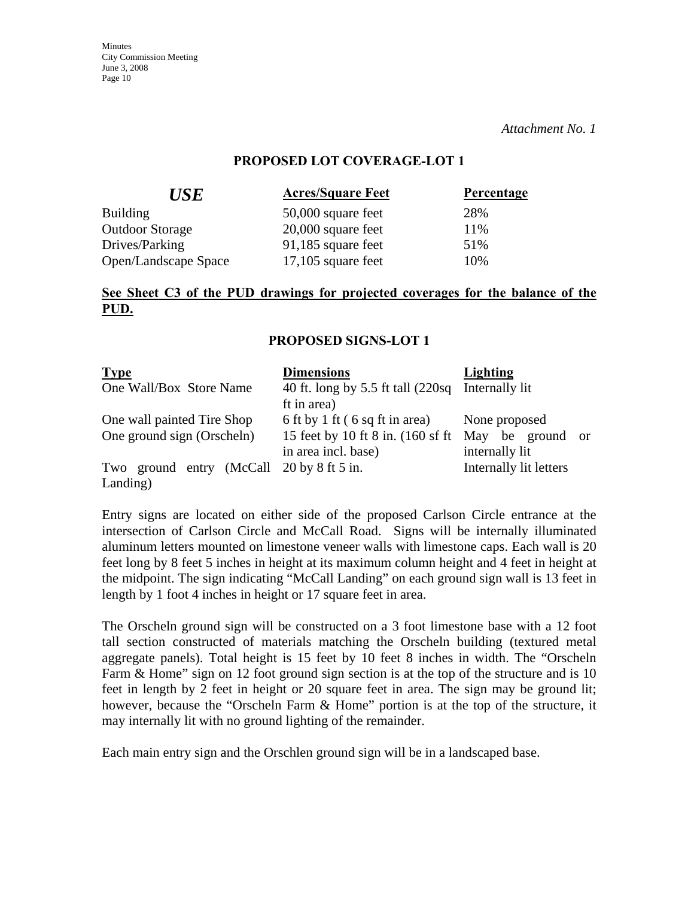*Attachment No. 1*

#### **PROPOSED LOT COVERAGE-LOT 1**

| <b>Acres/Square Feet</b> | Percentage |
|--------------------------|------------|
| 50,000 square feet       | 28%        |
| $20,000$ square feet     | 11%        |
| $91,185$ square feet     | 51%        |
| $17,105$ square feet     | 10%        |
|                          |            |

## **See Sheet C3 of the PUD drawings for projected coverages for the balance of the PUD.**

#### **PROPOSED SIGNS-LOT 1**

| <b>Type</b>                                              | <b>Dimensions</b>                                                                           | Lighting                                            |
|----------------------------------------------------------|---------------------------------------------------------------------------------------------|-----------------------------------------------------|
| One Wall/Box Store Name                                  | 40 ft. long by 5.5 ft tall (220sq Internally lit<br>ft in area)                             |                                                     |
| One wall painted Tire Shop<br>One ground sign (Orscheln) | 6 ft by 1 ft (6 sq ft in area)<br>15 feet by 10 ft 8 in. (160 sf ft)<br>in area incl. base) | None proposed<br>May be ground or<br>internally lit |
| Two ground entry (McCall 20 by 8 ft 5 in.<br>Landing)    |                                                                                             | Internally lit letters                              |

Entry signs are located on either side of the proposed Carlson Circle entrance at the intersection of Carlson Circle and McCall Road. Signs will be internally illuminated aluminum letters mounted on limestone veneer walls with limestone caps. Each wall is 20 feet long by 8 feet 5 inches in height at its maximum column height and 4 feet in height at the midpoint. The sign indicating "McCall Landing" on each ground sign wall is 13 feet in length by 1 foot 4 inches in height or 17 square feet in area.

The Orscheln ground sign will be constructed on a 3 foot limestone base with a 12 foot tall section constructed of materials matching the Orscheln building (textured metal aggregate panels). Total height is 15 feet by 10 feet 8 inches in width. The "Orscheln Farm & Home" sign on 12 foot ground sign section is at the top of the structure and is 10 feet in length by 2 feet in height or 20 square feet in area. The sign may be ground lit; however, because the "Orscheln Farm & Home" portion is at the top of the structure, it may internally lit with no ground lighting of the remainder.

Each main entry sign and the Orschlen ground sign will be in a landscaped base.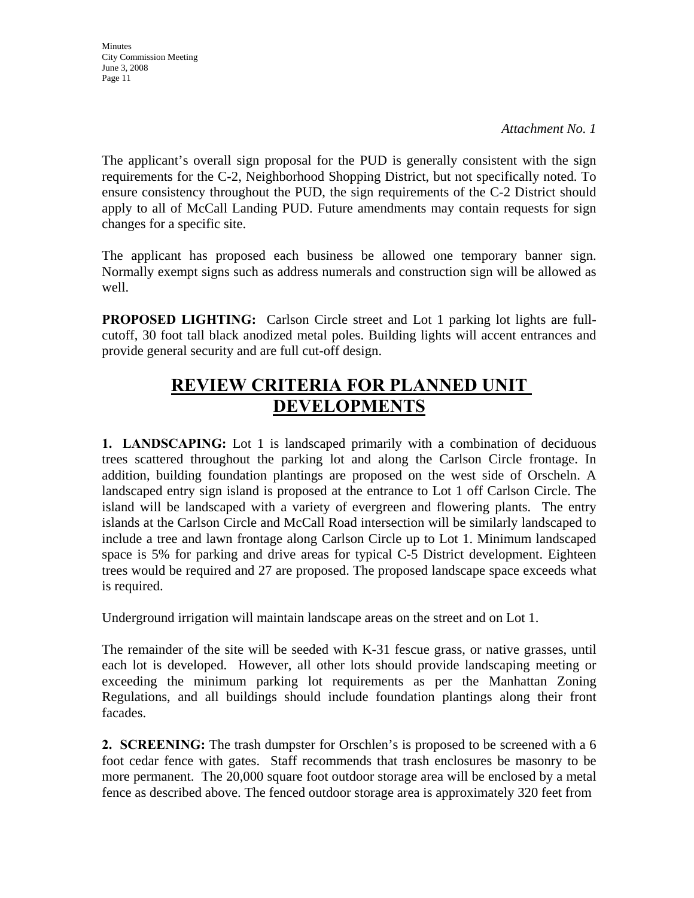*Attachment No. 1*

The applicant's overall sign proposal for the PUD is generally consistent with the sign requirements for the C-2, Neighborhood Shopping District, but not specifically noted. To ensure consistency throughout the PUD, the sign requirements of the C-2 District should apply to all of McCall Landing PUD. Future amendments may contain requests for sign changes for a specific site.

The applicant has proposed each business be allowed one temporary banner sign. Normally exempt signs such as address numerals and construction sign will be allowed as well.

**PROPOSED LIGHTING:** Carlson Circle street and Lot 1 parking lot lights are fullcutoff, 30 foot tall black anodized metal poles. Building lights will accent entrances and provide general security and are full cut-off design.

# **REVIEW CRITERIA FOR PLANNED UNIT DEVELOPMENTS**

**1. LANDSCAPING:** Lot 1 is landscaped primarily with a combination of deciduous trees scattered throughout the parking lot and along the Carlson Circle frontage. In addition, building foundation plantings are proposed on the west side of Orscheln. A landscaped entry sign island is proposed at the entrance to Lot 1 off Carlson Circle. The island will be landscaped with a variety of evergreen and flowering plants. The entry islands at the Carlson Circle and McCall Road intersection will be similarly landscaped to include a tree and lawn frontage along Carlson Circle up to Lot 1. Minimum landscaped space is 5% for parking and drive areas for typical C-5 District development. Eighteen trees would be required and 27 are proposed. The proposed landscape space exceeds what is required.

Underground irrigation will maintain landscape areas on the street and on Lot 1.

The remainder of the site will be seeded with K-31 fescue grass, or native grasses, until each lot is developed. However, all other lots should provide landscaping meeting or exceeding the minimum parking lot requirements as per the Manhattan Zoning Regulations, and all buildings should include foundation plantings along their front facades.

**2. SCREENING:** The trash dumpster for Orschlen's is proposed to be screened with a 6 foot cedar fence with gates. Staff recommends that trash enclosures be masonry to be more permanent. The 20,000 square foot outdoor storage area will be enclosed by a metal fence as described above. The fenced outdoor storage area is approximately 320 feet from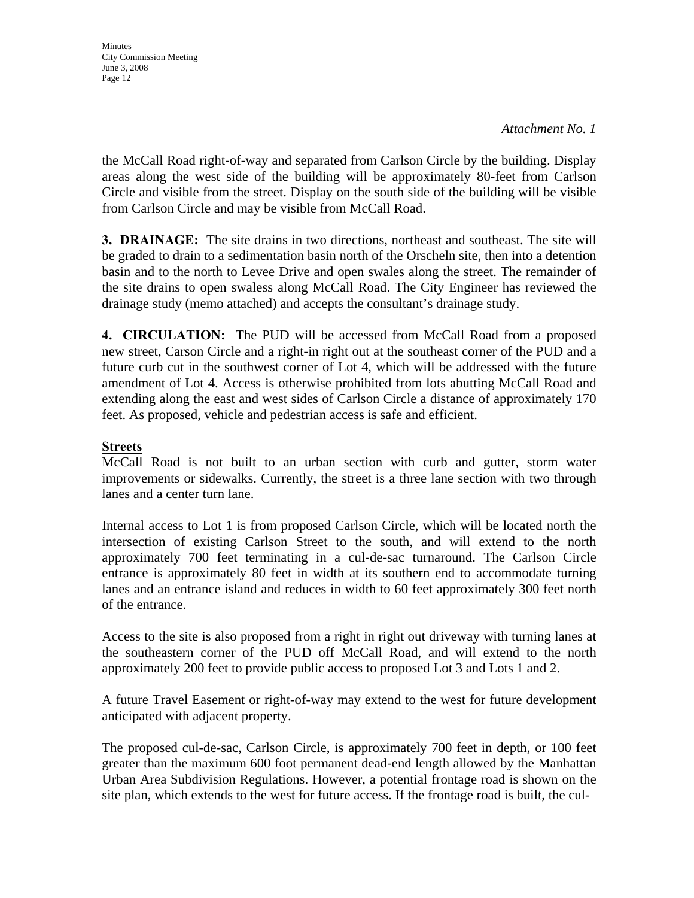**Minutes** City Commission Meeting June 3, 2008 Page 12

the McCall Road right-of-way and separated from Carlson Circle by the building. Display areas along the west side of the building will be approximately 80-feet from Carlson Circle and visible from the street. Display on the south side of the building will be visible from Carlson Circle and may be visible from McCall Road.

**3. DRAINAGE:** The site drains in two directions, northeast and southeast. The site will be graded to drain to a sedimentation basin north of the Orscheln site, then into a detention basin and to the north to Levee Drive and open swales along the street. The remainder of the site drains to open swaless along McCall Road. The City Engineer has reviewed the drainage study (memo attached) and accepts the consultant's drainage study.

**4. CIRCULATION:** The PUD will be accessed from McCall Road from a proposed new street, Carson Circle and a right-in right out at the southeast corner of the PUD and a future curb cut in the southwest corner of Lot 4, which will be addressed with the future amendment of Lot 4. Access is otherwise prohibited from lots abutting McCall Road and extending along the east and west sides of Carlson Circle a distance of approximately 170 feet. As proposed, vehicle and pedestrian access is safe and efficient.

# **Streets**

McCall Road is not built to an urban section with curb and gutter, storm water improvements or sidewalks. Currently, the street is a three lane section with two through lanes and a center turn lane.

Internal access to Lot 1 is from proposed Carlson Circle, which will be located north the intersection of existing Carlson Street to the south, and will extend to the north approximately 700 feet terminating in a cul-de-sac turnaround. The Carlson Circle entrance is approximately 80 feet in width at its southern end to accommodate turning lanes and an entrance island and reduces in width to 60 feet approximately 300 feet north of the entrance.

Access to the site is also proposed from a right in right out driveway with turning lanes at the southeastern corner of the PUD off McCall Road, and will extend to the north approximately 200 feet to provide public access to proposed Lot 3 and Lots 1 and 2.

A future Travel Easement or right-of-way may extend to the west for future development anticipated with adjacent property.

The proposed cul-de-sac, Carlson Circle, is approximately 700 feet in depth, or 100 feet greater than the maximum 600 foot permanent dead-end length allowed by the Manhattan Urban Area Subdivision Regulations. However, a potential frontage road is shown on the site plan, which extends to the west for future access. If the frontage road is built, the cul-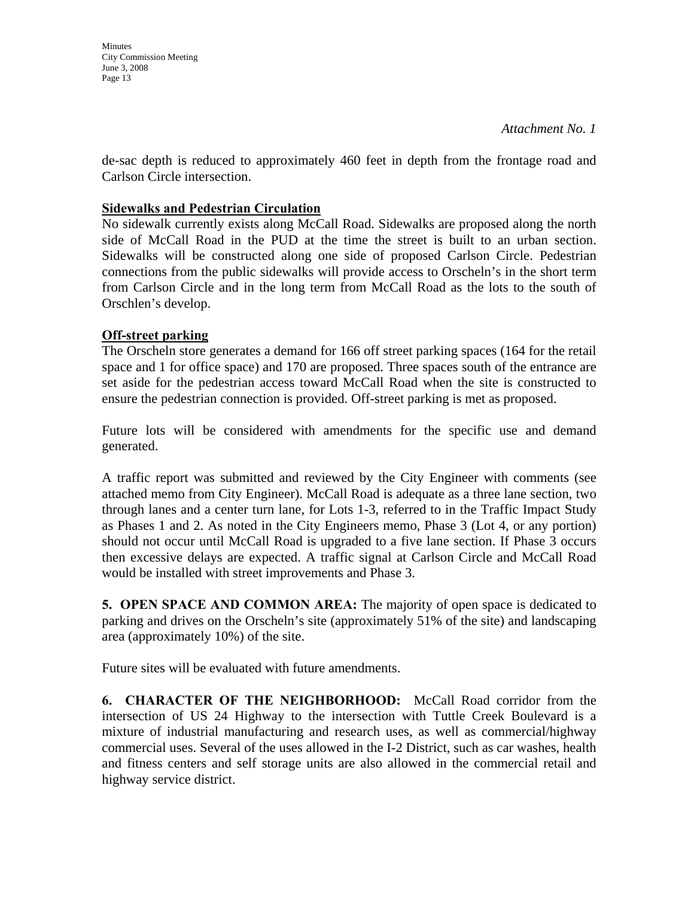**Minutes** City Commission Meeting June 3, 2008 Page 13

de-sac depth is reduced to approximately 460 feet in depth from the frontage road and Carlson Circle intersection.

## **Sidewalks and Pedestrian Circulation**

No sidewalk currently exists along McCall Road. Sidewalks are proposed along the north side of McCall Road in the PUD at the time the street is built to an urban section. Sidewalks will be constructed along one side of proposed Carlson Circle. Pedestrian connections from the public sidewalks will provide access to Orscheln's in the short term from Carlson Circle and in the long term from McCall Road as the lots to the south of Orschlen's develop.

# **Off-street parking**

The Orscheln store generates a demand for 166 off street parking spaces (164 for the retail space and 1 for office space) and 170 are proposed. Three spaces south of the entrance are set aside for the pedestrian access toward McCall Road when the site is constructed to ensure the pedestrian connection is provided. Off-street parking is met as proposed.

Future lots will be considered with amendments for the specific use and demand generated.

A traffic report was submitted and reviewed by the City Engineer with comments (see attached memo from City Engineer). McCall Road is adequate as a three lane section, two through lanes and a center turn lane, for Lots 1-3, referred to in the Traffic Impact Study as Phases 1 and 2. As noted in the City Engineers memo, Phase 3 (Lot 4, or any portion) should not occur until McCall Road is upgraded to a five lane section. If Phase 3 occurs then excessive delays are expected. A traffic signal at Carlson Circle and McCall Road would be installed with street improvements and Phase 3.

**5. OPEN SPACE AND COMMON AREA:** The majority of open space is dedicated to parking and drives on the Orscheln's site (approximately 51% of the site) and landscaping area (approximately 10%) of the site.

Future sites will be evaluated with future amendments.

**6. CHARACTER OF THE NEIGHBORHOOD:** McCall Road corridor from the intersection of US 24 Highway to the intersection with Tuttle Creek Boulevard is a mixture of industrial manufacturing and research uses, as well as commercial/highway commercial uses. Several of the uses allowed in the I-2 District, such as car washes, health and fitness centers and self storage units are also allowed in the commercial retail and highway service district.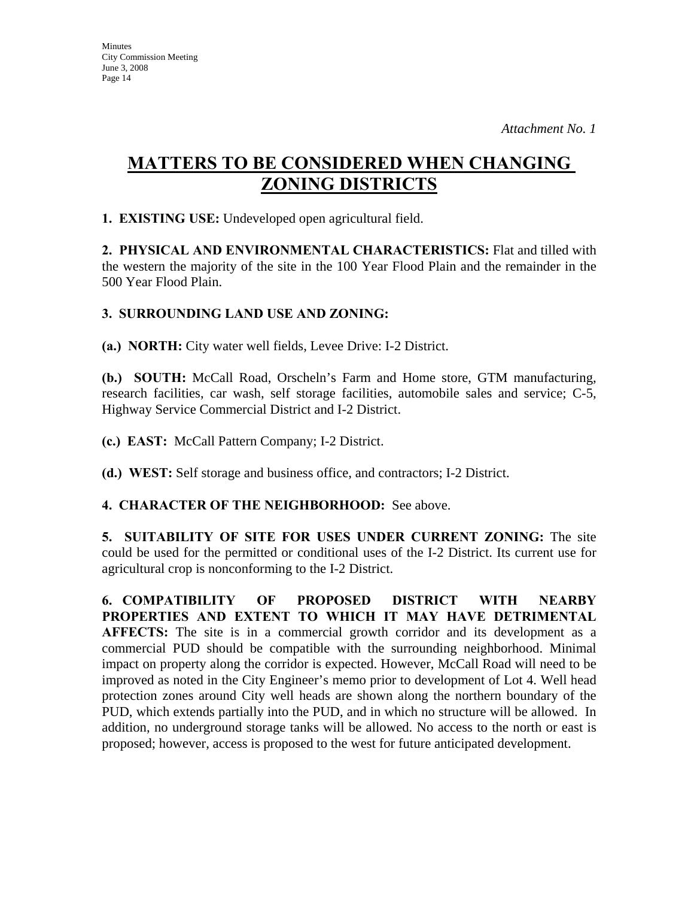# **MATTERS TO BE CONSIDERED WHEN CHANGING ZONING DISTRICTS**

**1. EXISTING USE:** Undeveloped open agricultural field.

**2. PHYSICAL AND ENVIRONMENTAL CHARACTERISTICS:** Flat and tilled with the western the majority of the site in the 100 Year Flood Plain and the remainder in the 500 Year Flood Plain.

# **3. SURROUNDING LAND USE AND ZONING:**

**(a.) NORTH:** City water well fields, Levee Drive: I-2 District.

**(b.) SOUTH:** McCall Road, Orscheln's Farm and Home store, GTM manufacturing, research facilities, car wash, self storage facilities, automobile sales and service; C-5, Highway Service Commercial District and I-2 District.

**(c.) EAST:** McCall Pattern Company; I-2 District.

**(d.) WEST:** Self storage and business office, and contractors; I-2 District.

## **4. CHARACTER OF THE NEIGHBORHOOD:** See above.

**5. SUITABILITY OF SITE FOR USES UNDER CURRENT ZONING:** The site could be used for the permitted or conditional uses of the I-2 District. Its current use for agricultural crop is nonconforming to the I-2 District.

**6. COMPATIBILITY OF PROPOSED DISTRICT WITH NEARBY PROPERTIES AND EXTENT TO WHICH IT MAY HAVE DETRIMENTAL AFFECTS:** The site is in a commercial growth corridor and its development as a commercial PUD should be compatible with the surrounding neighborhood. Minimal impact on property along the corridor is expected. However, McCall Road will need to be improved as noted in the City Engineer's memo prior to development of Lot 4. Well head protection zones around City well heads are shown along the northern boundary of the PUD, which extends partially into the PUD, and in which no structure will be allowed. In addition, no underground storage tanks will be allowed. No access to the north or east is proposed; however, access is proposed to the west for future anticipated development.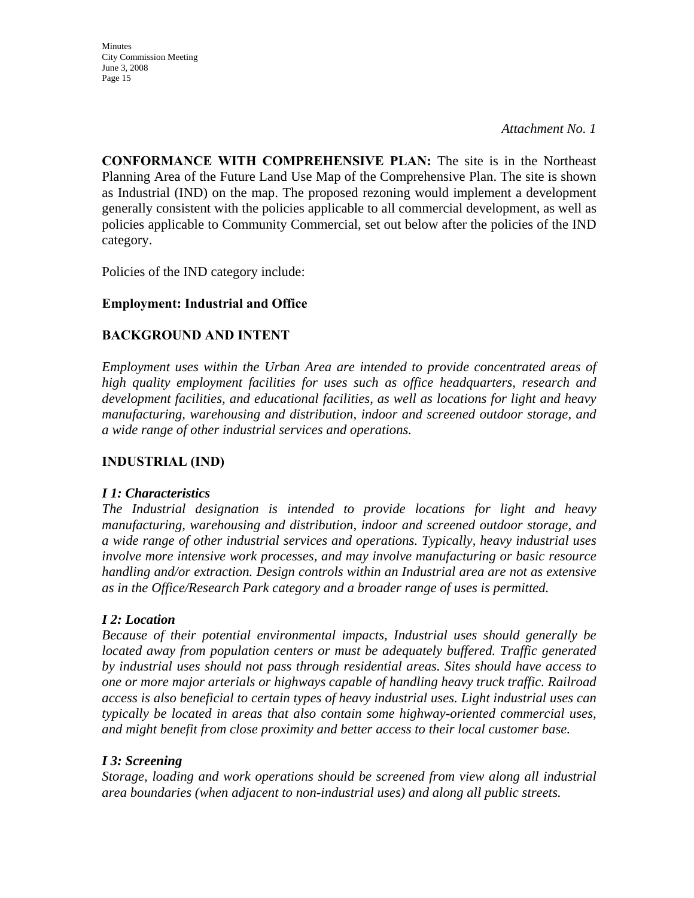*Attachment No. 1*

**CONFORMANCE WITH COMPREHENSIVE PLAN:** The site is in the Northeast Planning Area of the Future Land Use Map of the Comprehensive Plan. The site is shown as Industrial (IND) on the map. The proposed rezoning would implement a development generally consistent with the policies applicable to all commercial development, as well as policies applicable to Community Commercial, set out below after the policies of the IND category.

Policies of the IND category include:

# **Employment: Industrial and Office**

# **BACKGROUND AND INTENT**

*Employment uses within the Urban Area are intended to provide concentrated areas of high quality employment facilities for uses such as office headquarters, research and development facilities, and educational facilities, as well as locations for light and heavy manufacturing, warehousing and distribution, indoor and screened outdoor storage, and a wide range of other industrial services and operations.* 

## **INDUSTRIAL (IND)**

#### *I 1: Characteristics*

*The Industrial designation is intended to provide locations for light and heavy manufacturing, warehousing and distribution, indoor and screened outdoor storage, and a wide range of other industrial services and operations. Typically, heavy industrial uses involve more intensive work processes, and may involve manufacturing or basic resource handling and/or extraction. Design controls within an Industrial area are not as extensive as in the Office/Research Park category and a broader range of uses is permitted.* 

## *I 2: Location*

*Because of their potential environmental impacts, Industrial uses should generally be located away from population centers or must be adequately buffered. Traffic generated by industrial uses should not pass through residential areas. Sites should have access to one or more major arterials or highways capable of handling heavy truck traffic. Railroad access is also beneficial to certain types of heavy industrial uses. Light industrial uses can typically be located in areas that also contain some highway-oriented commercial uses, and might benefit from close proximity and better access to their local customer base.* 

## *I 3: Screening*

*Storage, loading and work operations should be screened from view along all industrial area boundaries (when adjacent to non-industrial uses) and along all public streets.*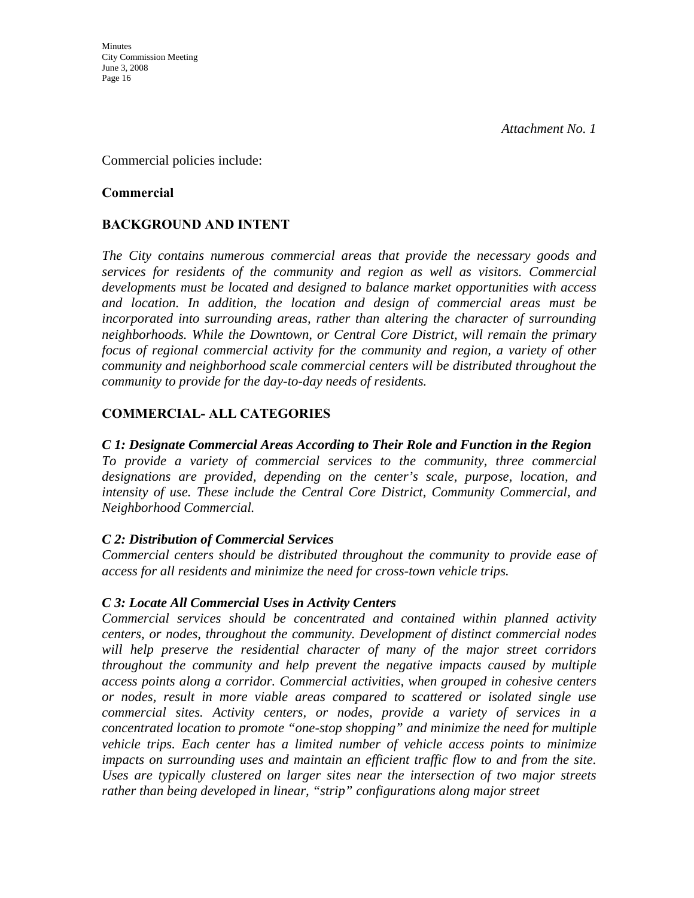Commercial policies include:

#### **Commercial**

# **BACKGROUND AND INTENT**

*The City contains numerous commercial areas that provide the necessary goods and services for residents of the community and region as well as visitors. Commercial developments must be located and designed to balance market opportunities with access and location. In addition, the location and design of commercial areas must be incorporated into surrounding areas, rather than altering the character of surrounding neighborhoods. While the Downtown, or Central Core District, will remain the primary focus of regional commercial activity for the community and region, a variety of other community and neighborhood scale commercial centers will be distributed throughout the community to provide for the day-to-day needs of residents.* 

# **COMMERCIAL- ALL CATEGORIES**

## *C 1: Designate Commercial Areas According to Their Role and Function in the Region*

*To provide a variety of commercial services to the community, three commercial designations are provided, depending on the center's scale, purpose, location, and intensity of use. These include the Central Core District, Community Commercial, and Neighborhood Commercial.* 

## *C 2: Distribution of Commercial Services*

*Commercial centers should be distributed throughout the community to provide ease of access for all residents and minimize the need for cross-town vehicle trips.* 

## *C 3: Locate All Commercial Uses in Activity Centers*

*Commercial services should be concentrated and contained within planned activity centers, or nodes, throughout the community. Development of distinct commercial nodes will help preserve the residential character of many of the major street corridors throughout the community and help prevent the negative impacts caused by multiple access points along a corridor. Commercial activities, when grouped in cohesive centers or nodes, result in more viable areas compared to scattered or isolated single use commercial sites. Activity centers, or nodes, provide a variety of services in a concentrated location to promote "one-stop shopping" and minimize the need for multiple vehicle trips. Each center has a limited number of vehicle access points to minimize*  impacts on surrounding uses and maintain an efficient traffic flow to and from the site. *Uses are typically clustered on larger sites near the intersection of two major streets rather than being developed in linear, "strip" configurations along major street*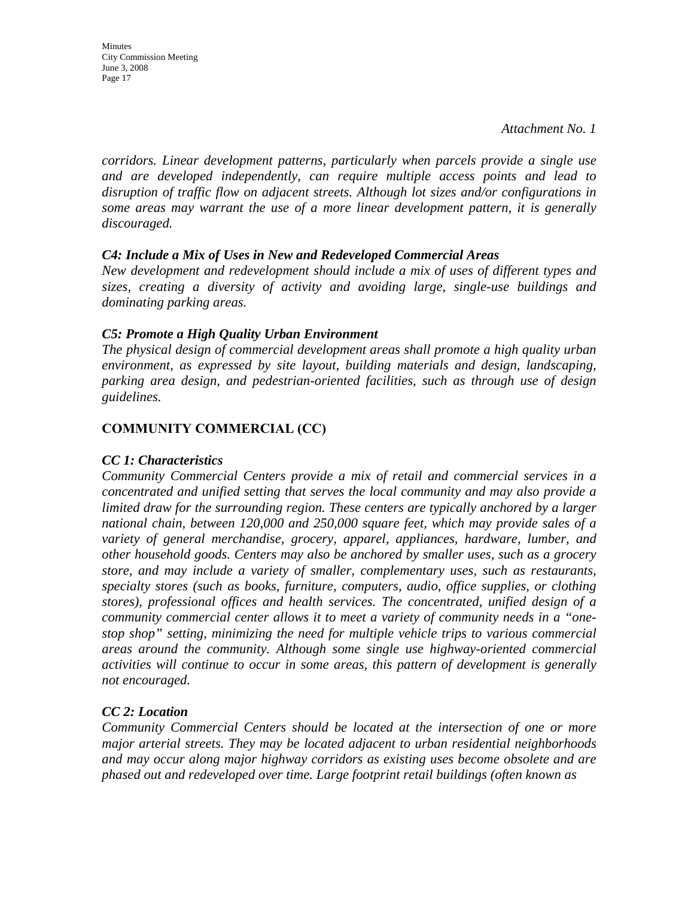Minutes City Commission Meeting June 3, 2008 Page 17

*corridors. Linear development patterns, particularly when parcels provide a single use and are developed independently, can require multiple access points and lead to disruption of traffic flow on adjacent streets. Although lot sizes and/or configurations in some areas may warrant the use of a more linear development pattern, it is generally discouraged.* 

#### *C4: Include a Mix of Uses in New and Redeveloped Commercial Areas*

*New development and redevelopment should include a mix of uses of different types and sizes, creating a diversity of activity and avoiding large, single-use buildings and dominating parking areas.* 

#### *C5: Promote a High Quality Urban Environment*

*The physical design of commercial development areas shall promote a high quality urban environment, as expressed by site layout, building materials and design, landscaping, parking area design, and pedestrian-oriented facilities, such as through use of design guidelines.* 

# **COMMUNITY COMMERCIAL (CC)**

## *CC 1: Characteristics*

*Community Commercial Centers provide a mix of retail and commercial services in a concentrated and unified setting that serves the local community and may also provide a limited draw for the surrounding region. These centers are typically anchored by a larger national chain, between 120,000 and 250,000 square feet, which may provide sales of a variety of general merchandise, grocery, apparel, appliances, hardware, lumber, and other household goods. Centers may also be anchored by smaller uses, such as a grocery store, and may include a variety of smaller, complementary uses, such as restaurants, specialty stores (such as books, furniture, computers, audio, office supplies, or clothing stores), professional offices and health services. The concentrated, unified design of a community commercial center allows it to meet a variety of community needs in a "onestop shop" setting, minimizing the need for multiple vehicle trips to various commercial areas around the community. Although some single use highway-oriented commercial activities will continue to occur in some areas, this pattern of development is generally not encouraged.* 

## *CC 2: Location*

*Community Commercial Centers should be located at the intersection of one or more major arterial streets. They may be located adjacent to urban residential neighborhoods and may occur along major highway corridors as existing uses become obsolete and are phased out and redeveloped over time. Large footprint retail buildings (often known as*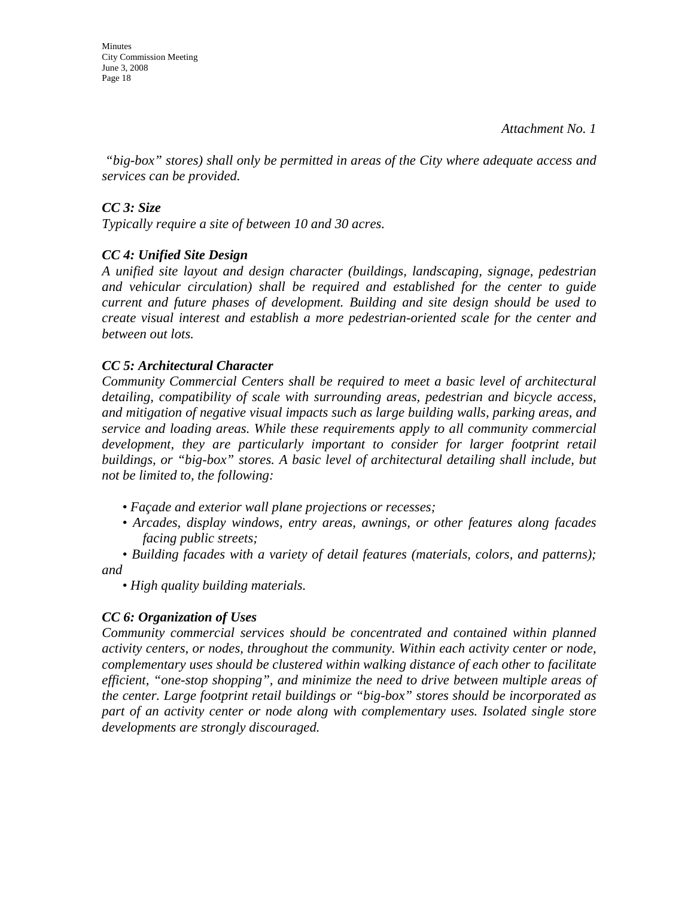Minutes City Commission Meeting June 3, 2008 Page 18

 *"big-box" stores) shall only be permitted in areas of the City where adequate access and services can be provided.* 

## *CC 3: Size*

*Typically require a site of between 10 and 30 acres.* 

## *CC 4: Unified Site Design*

*A unified site layout and design character (buildings, landscaping, signage, pedestrian and vehicular circulation) shall be required and established for the center to guide current and future phases of development. Building and site design should be used to create visual interest and establish a more pedestrian-oriented scale for the center and between out lots.* 

#### *CC 5: Architectural Character*

*Community Commercial Centers shall be required to meet a basic level of architectural detailing, compatibility of scale with surrounding areas, pedestrian and bicycle access, and mitigation of negative visual impacts such as large building walls, parking areas, and service and loading areas. While these requirements apply to all community commercial*  development, they are particularly important to consider for larger footprint retail *buildings, or "big-box" stores. A basic level of architectural detailing shall include, but not be limited to, the following:* 

- *Façade and exterior wall plane projections or recesses;*
- *Arcades, display windows, entry areas, awnings, or other features along facades facing public streets;*

*• Building facades with a variety of detail features (materials, colors, and patterns); and* 

*• High quality building materials.* 

## *CC 6: Organization of Uses*

*Community commercial services should be concentrated and contained within planned activity centers, or nodes, throughout the community. Within each activity center or node, complementary uses should be clustered within walking distance of each other to facilitate efficient, "one-stop shopping", and minimize the need to drive between multiple areas of the center. Large footprint retail buildings or "big-box" stores should be incorporated as part of an activity center or node along with complementary uses. Isolated single store developments are strongly discouraged.*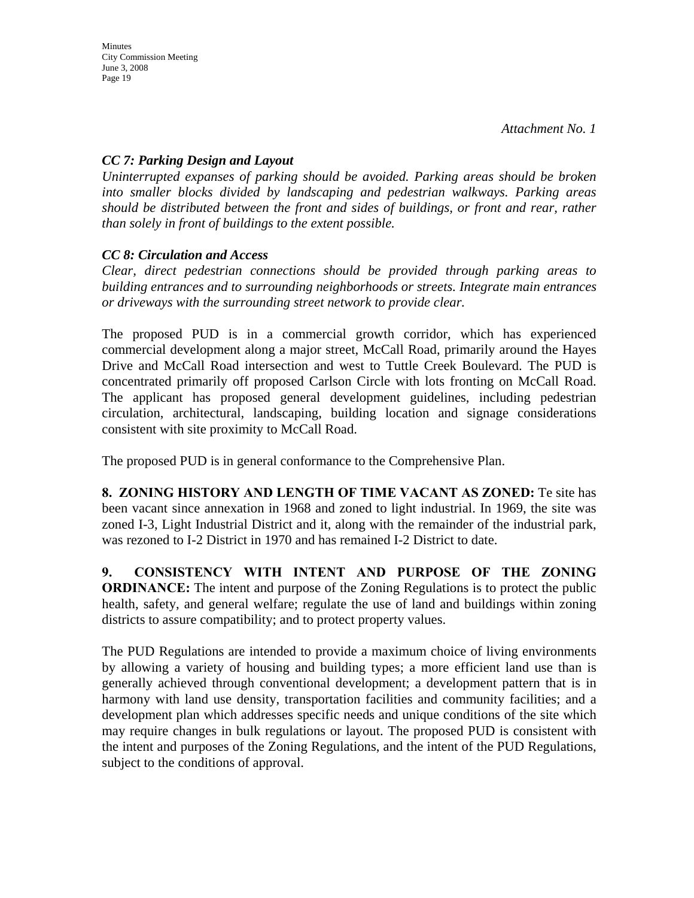# *CC 7: Parking Design and Layout*

*Uninterrupted expanses of parking should be avoided. Parking areas should be broken into smaller blocks divided by landscaping and pedestrian walkways. Parking areas should be distributed between the front and sides of buildings, or front and rear, rather than solely in front of buildings to the extent possible.* 

# *CC 8: Circulation and Access*

*Clear, direct pedestrian connections should be provided through parking areas to building entrances and to surrounding neighborhoods or streets. Integrate main entrances or driveways with the surrounding street network to provide clear.* 

The proposed PUD is in a commercial growth corridor, which has experienced commercial development along a major street, McCall Road, primarily around the Hayes Drive and McCall Road intersection and west to Tuttle Creek Boulevard. The PUD is concentrated primarily off proposed Carlson Circle with lots fronting on McCall Road. The applicant has proposed general development guidelines, including pedestrian circulation, architectural, landscaping, building location and signage considerations consistent with site proximity to McCall Road.

The proposed PUD is in general conformance to the Comprehensive Plan.

**8. ZONING HISTORY AND LENGTH OF TIME VACANT AS ZONED:** Te site has been vacant since annexation in 1968 and zoned to light industrial. In 1969, the site was zoned I-3, Light Industrial District and it, along with the remainder of the industrial park, was rezoned to I-2 District in 1970 and has remained I-2 District to date.

**9. CONSISTENCY WITH INTENT AND PURPOSE OF THE ZONING ORDINANCE:** The intent and purpose of the Zoning Regulations is to protect the public health, safety, and general welfare; regulate the use of land and buildings within zoning districts to assure compatibility; and to protect property values.

The PUD Regulations are intended to provide a maximum choice of living environments by allowing a variety of housing and building types; a more efficient land use than is generally achieved through conventional development; a development pattern that is in harmony with land use density, transportation facilities and community facilities; and a development plan which addresses specific needs and unique conditions of the site which may require changes in bulk regulations or layout. The proposed PUD is consistent with the intent and purposes of the Zoning Regulations, and the intent of the PUD Regulations, subject to the conditions of approval.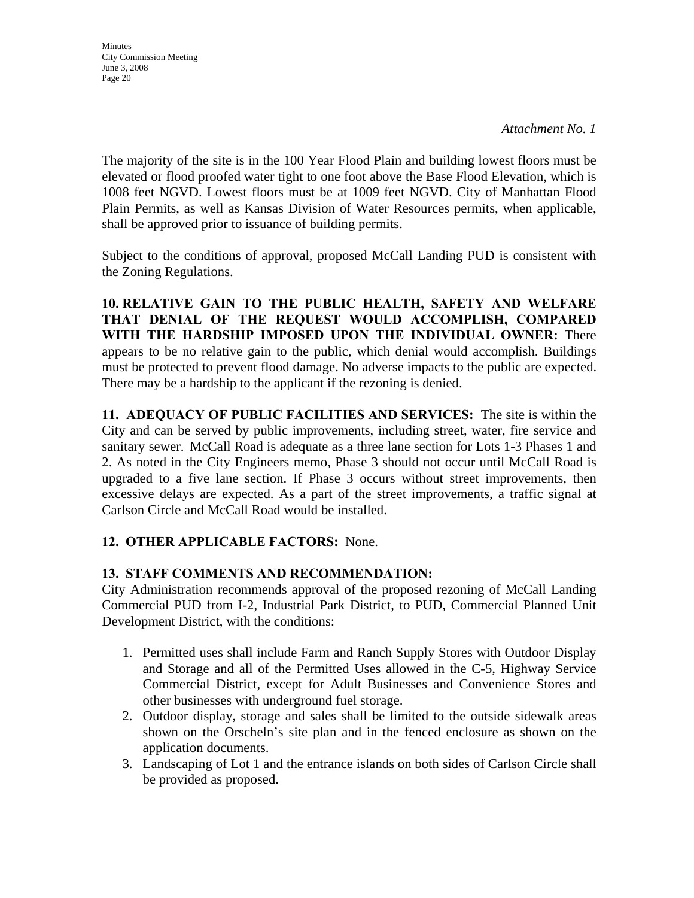**Minutes** City Commission Meeting June 3, 2008 Page 20

The majority of the site is in the 100 Year Flood Plain and building lowest floors must be elevated or flood proofed water tight to one foot above the Base Flood Elevation, which is 1008 feet NGVD. Lowest floors must be at 1009 feet NGVD. City of Manhattan Flood Plain Permits, as well as Kansas Division of Water Resources permits, when applicable, shall be approved prior to issuance of building permits.

Subject to the conditions of approval, proposed McCall Landing PUD is consistent with the Zoning Regulations.

**10. RELATIVE GAIN TO THE PUBLIC HEALTH, SAFETY AND WELFARE THAT DENIAL OF THE REQUEST WOULD ACCOMPLISH, COMPARED WITH THE HARDSHIP IMPOSED UPON THE INDIVIDUAL OWNER:** There appears to be no relative gain to the public, which denial would accomplish. Buildings must be protected to prevent flood damage. No adverse impacts to the public are expected. There may be a hardship to the applicant if the rezoning is denied.

**11. ADEQUACY OF PUBLIC FACILITIES AND SERVICES:** The site is within the City and can be served by public improvements, including street, water, fire service and sanitary sewer. McCall Road is adequate as a three lane section for Lots 1-3 Phases 1 and 2. As noted in the City Engineers memo, Phase 3 should not occur until McCall Road is upgraded to a five lane section. If Phase 3 occurs without street improvements, then excessive delays are expected. As a part of the street improvements, a traffic signal at Carlson Circle and McCall Road would be installed.

# **12. OTHER APPLICABLE FACTORS:** None.

## **13. STAFF COMMENTS AND RECOMMENDATION:**

City Administration recommends approval of the proposed rezoning of McCall Landing Commercial PUD from I-2, Industrial Park District, to PUD, Commercial Planned Unit Development District, with the conditions:

- 1. Permitted uses shall include Farm and Ranch Supply Stores with Outdoor Display and Storage and all of the Permitted Uses allowed in the C-5, Highway Service Commercial District, except for Adult Businesses and Convenience Stores and other businesses with underground fuel storage.
- 2. Outdoor display, storage and sales shall be limited to the outside sidewalk areas shown on the Orscheln's site plan and in the fenced enclosure as shown on the application documents.
- 3. Landscaping of Lot 1 and the entrance islands on both sides of Carlson Circle shall be provided as proposed.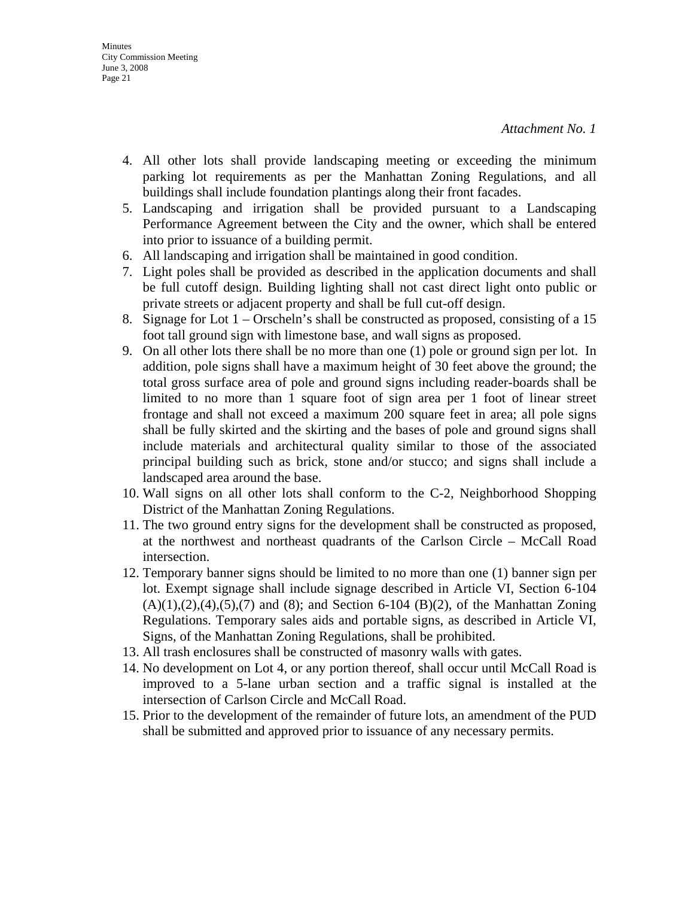- 4. All other lots shall provide landscaping meeting or exceeding the minimum parking lot requirements as per the Manhattan Zoning Regulations, and all buildings shall include foundation plantings along their front facades.
- 5. Landscaping and irrigation shall be provided pursuant to a Landscaping Performance Agreement between the City and the owner, which shall be entered into prior to issuance of a building permit.
- 6. All landscaping and irrigation shall be maintained in good condition.
- 7. Light poles shall be provided as described in the application documents and shall be full cutoff design. Building lighting shall not cast direct light onto public or private streets or adjacent property and shall be full cut-off design.
- 8. Signage for Lot 1 Orscheln's shall be constructed as proposed, consisting of a 15 foot tall ground sign with limestone base, and wall signs as proposed.
- 9. On all other lots there shall be no more than one (1) pole or ground sign per lot. In addition, pole signs shall have a maximum height of 30 feet above the ground; the total gross surface area of pole and ground signs including reader-boards shall be limited to no more than 1 square foot of sign area per 1 foot of linear street frontage and shall not exceed a maximum 200 square feet in area; all pole signs shall be fully skirted and the skirting and the bases of pole and ground signs shall include materials and architectural quality similar to those of the associated principal building such as brick, stone and/or stucco; and signs shall include a landscaped area around the base.
- 10. Wall signs on all other lots shall conform to the C-2, Neighborhood Shopping District of the Manhattan Zoning Regulations.
- 11. The two ground entry signs for the development shall be constructed as proposed, at the northwest and northeast quadrants of the Carlson Circle – McCall Road intersection.
- 12. Temporary banner signs should be limited to no more than one (1) banner sign per lot. Exempt signage shall include signage described in Article VI, Section 6-104  $(A)(1),(2),(4),(5),(7)$  and  $(8)$ ; and Section 6-104  $(B)(2)$ , of the Manhattan Zoning Regulations. Temporary sales aids and portable signs, as described in Article VI, Signs, of the Manhattan Zoning Regulations, shall be prohibited.
- 13. All trash enclosures shall be constructed of masonry walls with gates.
- 14. No development on Lot 4, or any portion thereof, shall occur until McCall Road is improved to a 5-lane urban section and a traffic signal is installed at the intersection of Carlson Circle and McCall Road.
- 15. Prior to the development of the remainder of future lots, an amendment of the PUD shall be submitted and approved prior to issuance of any necessary permits.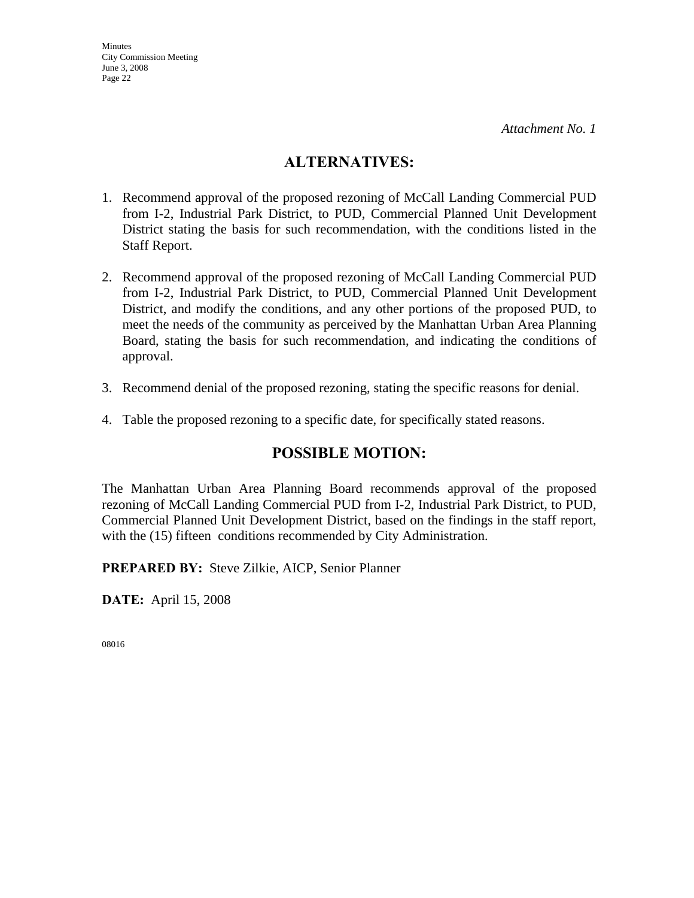# **ALTERNATIVES:**

- 1. Recommend approval of the proposed rezoning of McCall Landing Commercial PUD from I-2, Industrial Park District, to PUD, Commercial Planned Unit Development District stating the basis for such recommendation, with the conditions listed in the Staff Report.
- 2. Recommend approval of the proposed rezoning of McCall Landing Commercial PUD from I-2, Industrial Park District, to PUD, Commercial Planned Unit Development District, and modify the conditions, and any other portions of the proposed PUD, to meet the needs of the community as perceived by the Manhattan Urban Area Planning Board, stating the basis for such recommendation, and indicating the conditions of approval.
- 3. Recommend denial of the proposed rezoning, stating the specific reasons for denial.
- 4. Table the proposed rezoning to a specific date, for specifically stated reasons.

# **POSSIBLE MOTION:**

The Manhattan Urban Area Planning Board recommends approval of the proposed rezoning of McCall Landing Commercial PUD from I-2, Industrial Park District, to PUD, Commercial Planned Unit Development District, based on the findings in the staff report, with the (15) fifteen conditions recommended by City Administration.

**PREPARED BY:** Steve Zilkie, AICP, Senior Planner

**DATE:** April 15, 2008

08016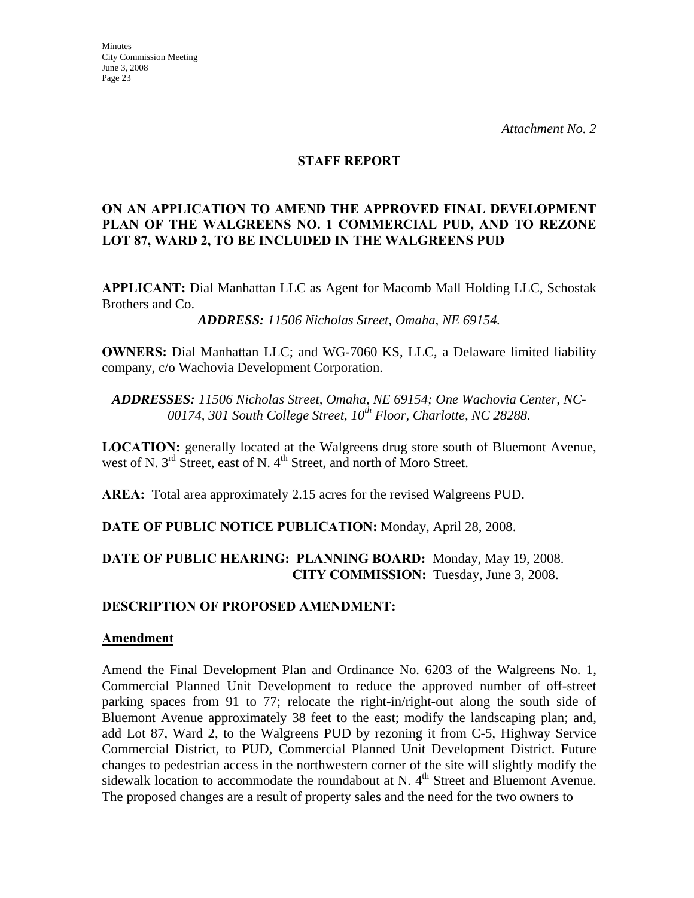#### **STAFF REPORT**

#### **ON AN APPLICATION TO AMEND THE APPROVED FINAL DEVELOPMENT PLAN OF THE WALGREENS NO. 1 COMMERCIAL PUD, AND TO REZONE LOT 87, WARD 2, TO BE INCLUDED IN THE WALGREENS PUD**

**APPLICANT:** Dial Manhattan LLC as Agent for Macomb Mall Holding LLC, Schostak Brothers and Co.

*ADDRESS: 11506 Nicholas Street, Omaha, NE 69154.*

**OWNERS:** Dial Manhattan LLC; and WG-7060 KS, LLC, a Delaware limited liability company, c/o Wachovia Development Corporation.

*ADDRESSES: 11506 Nicholas Street, Omaha, NE 69154; One Wachovia Center, NC-00174, 301 South College Street, 10th Floor, Charlotte, NC 28288.*

**LOCATION:** generally located at the Walgreens drug store south of Bluemont Avenue, west of N.  $3^{rd}$  Street, east of N.  $4^{th}$  Street, and north of Moro Street.

**AREA:** Total area approximately 2.15 acres for the revised Walgreens PUD.

**DATE OF PUBLIC NOTICE PUBLICATION:** Monday, April 28, 2008.

## **DATE OF PUBLIC HEARING: PLANNING BOARD:** Monday, May 19, 2008. **CITY COMMISSION:** Tuesday, June 3, 2008.

#### **DESCRIPTION OF PROPOSED AMENDMENT:**

#### **Amendment**

Amend the Final Development Plan and Ordinance No. 6203 of the Walgreens No. 1, Commercial Planned Unit Development to reduce the approved number of off-street parking spaces from 91 to 77; relocate the right-in/right-out along the south side of Bluemont Avenue approximately 38 feet to the east; modify the landscaping plan; and, add Lot 87, Ward 2, to the Walgreens PUD by rezoning it from C-5, Highway Service Commercial District, to PUD, Commercial Planned Unit Development District. Future changes to pedestrian access in the northwestern corner of the site will slightly modify the sidewalk location to accommodate the roundabout at N.  $4<sup>th</sup>$  Street and Bluemont Avenue. The proposed changes are a result of property sales and the need for the two owners to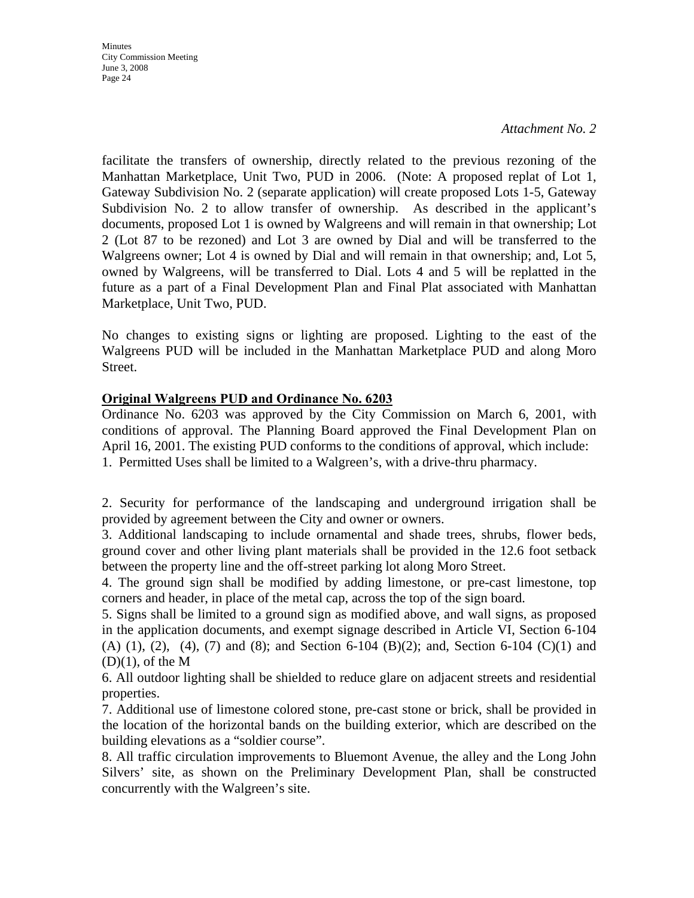*Attachment No. 2*

facilitate the transfers of ownership, directly related to the previous rezoning of the Manhattan Marketplace, Unit Two, PUD in 2006. (Note: A proposed replat of Lot 1, Gateway Subdivision No. 2 (separate application) will create proposed Lots 1-5, Gateway Subdivision No. 2 to allow transfer of ownership. As described in the applicant's documents, proposed Lot 1 is owned by Walgreens and will remain in that ownership; Lot 2 (Lot 87 to be rezoned) and Lot 3 are owned by Dial and will be transferred to the Walgreens owner; Lot 4 is owned by Dial and will remain in that ownership; and, Lot 5, owned by Walgreens, will be transferred to Dial. Lots 4 and 5 will be replatted in the future as a part of a Final Development Plan and Final Plat associated with Manhattan Marketplace, Unit Two, PUD.

No changes to existing signs or lighting are proposed. Lighting to the east of the Walgreens PUD will be included in the Manhattan Marketplace PUD and along Moro Street.

## **Original Walgreens PUD and Ordinance No. 6203**

Ordinance No. 6203 was approved by the City Commission on March 6, 2001, with conditions of approval. The Planning Board approved the Final Development Plan on April 16, 2001. The existing PUD conforms to the conditions of approval, which include: 1. Permitted Uses shall be limited to a Walgreen's, with a drive-thru pharmacy.

2. Security for performance of the landscaping and underground irrigation shall be provided by agreement between the City and owner or owners.

3. Additional landscaping to include ornamental and shade trees, shrubs, flower beds, ground cover and other living plant materials shall be provided in the 12.6 foot setback between the property line and the off-street parking lot along Moro Street.

4. The ground sign shall be modified by adding limestone, or pre-cast limestone, top corners and header, in place of the metal cap, across the top of the sign board.

5. Signs shall be limited to a ground sign as modified above, and wall signs, as proposed in the application documents, and exempt signage described in Article VI, Section 6-104 (A) (1), (2), (4), (7) and (8); and Section 6-104 (B)(2); and, Section 6-104 (C)(1) and  $(D)(1)$ , of the M

6. All outdoor lighting shall be shielded to reduce glare on adjacent streets and residential properties.

7. Additional use of limestone colored stone, pre-cast stone or brick, shall be provided in the location of the horizontal bands on the building exterior, which are described on the building elevations as a "soldier course".

8. All traffic circulation improvements to Bluemont Avenue, the alley and the Long John Silvers' site, as shown on the Preliminary Development Plan, shall be constructed concurrently with the Walgreen's site.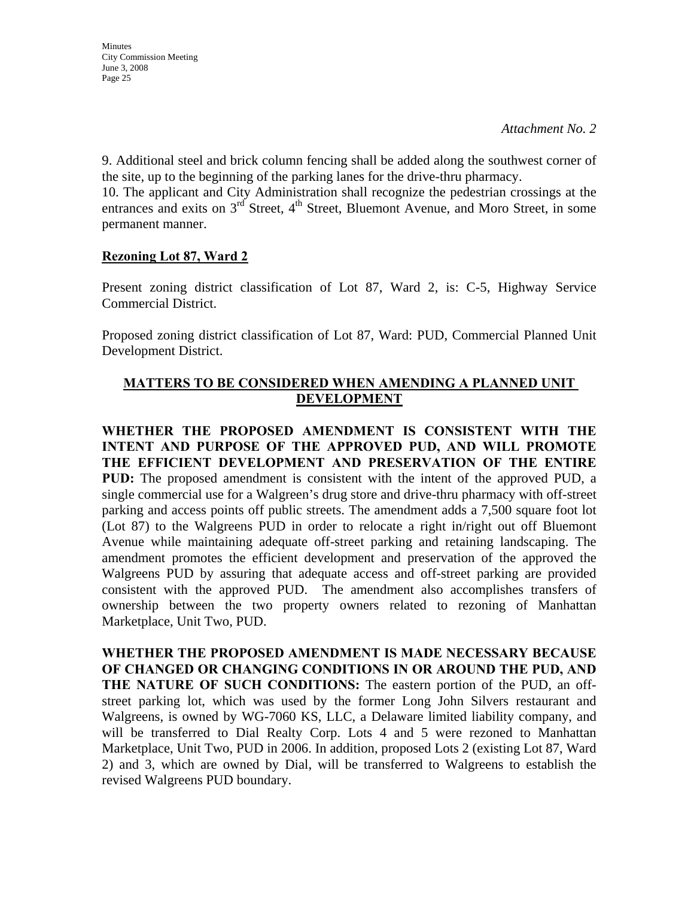*Attachment No. 2*

9. Additional steel and brick column fencing shall be added along the southwest corner of the site, up to the beginning of the parking lanes for the drive-thru pharmacy.

10. The applicant and City Administration shall recognize the pedestrian crossings at the entrances and exits on  $3<sup>rd</sup>$  Street,  $4<sup>th</sup>$  Street, Bluemont Avenue, and Moro Street, in some permanent manner.

## **Rezoning Lot 87, Ward 2**

Present zoning district classification of Lot 87, Ward 2, is: C-5, Highway Service Commercial District.

Proposed zoning district classification of Lot 87, Ward: PUD, Commercial Planned Unit Development District.

# **MATTERS TO BE CONSIDERED WHEN AMENDING A PLANNED UNIT DEVELOPMENT**

**WHETHER THE PROPOSED AMENDMENT IS CONSISTENT WITH THE INTENT AND PURPOSE OF THE APPROVED PUD, AND WILL PROMOTE THE EFFICIENT DEVELOPMENT AND PRESERVATION OF THE ENTIRE PUD:** The proposed amendment is consistent with the intent of the approved PUD, a single commercial use for a Walgreen's drug store and drive-thru pharmacy with off-street parking and access points off public streets. The amendment adds a 7,500 square foot lot (Lot 87) to the Walgreens PUD in order to relocate a right in/right out off Bluemont Avenue while maintaining adequate off-street parking and retaining landscaping. The amendment promotes the efficient development and preservation of the approved the Walgreens PUD by assuring that adequate access and off-street parking are provided consistent with the approved PUD. The amendment also accomplishes transfers of ownership between the two property owners related to rezoning of Manhattan Marketplace, Unit Two, PUD.

**WHETHER THE PROPOSED AMENDMENT IS MADE NECESSARY BECAUSE OF CHANGED OR CHANGING CONDITIONS IN OR AROUND THE PUD, AND THE NATURE OF SUCH CONDITIONS:** The eastern portion of the PUD, an offstreet parking lot, which was used by the former Long John Silvers restaurant and Walgreens, is owned by WG-7060 KS, LLC, a Delaware limited liability company, and will be transferred to Dial Realty Corp. Lots 4 and 5 were rezoned to Manhattan Marketplace, Unit Two, PUD in 2006. In addition, proposed Lots 2 (existing Lot 87, Ward 2) and 3, which are owned by Dial, will be transferred to Walgreens to establish the revised Walgreens PUD boundary.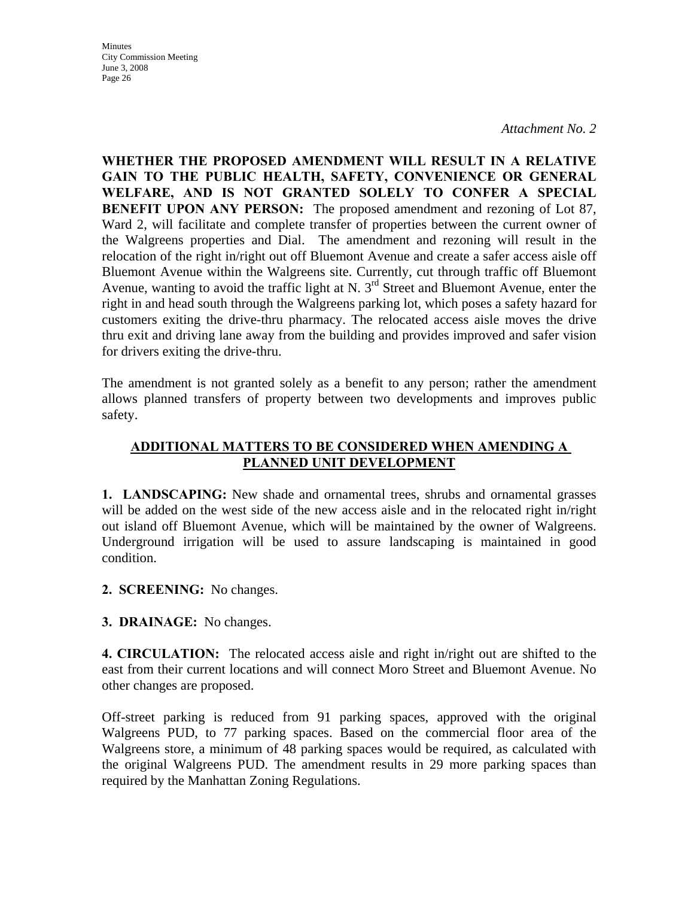*Attachment No. 2*

**WHETHER THE PROPOSED AMENDMENT WILL RESULT IN A RELATIVE GAIN TO THE PUBLIC HEALTH, SAFETY, CONVENIENCE OR GENERAL WELFARE, AND IS NOT GRANTED SOLELY TO CONFER A SPECIAL BENEFIT UPON ANY PERSON:** The proposed amendment and rezoning of Lot 87, Ward 2, will facilitate and complete transfer of properties between the current owner of the Walgreens properties and Dial. The amendment and rezoning will result in the relocation of the right in/right out off Bluemont Avenue and create a safer access aisle off Bluemont Avenue within the Walgreens site. Currently, cut through traffic off Bluemont Avenue, wanting to avoid the traffic light at N. 3<sup>rd</sup> Street and Bluemont Avenue, enter the right in and head south through the Walgreens parking lot, which poses a safety hazard for customers exiting the drive-thru pharmacy. The relocated access aisle moves the drive thru exit and driving lane away from the building and provides improved and safer vision for drivers exiting the drive-thru.

The amendment is not granted solely as a benefit to any person; rather the amendment allows planned transfers of property between two developments and improves public safety.

# **ADDITIONAL MATTERS TO BE CONSIDERED WHEN AMENDING A PLANNED UNIT DEVELOPMENT**

**1. LANDSCAPING:** New shade and ornamental trees, shrubs and ornamental grasses will be added on the west side of the new access aisle and in the relocated right in/right out island off Bluemont Avenue, which will be maintained by the owner of Walgreens. Underground irrigation will be used to assure landscaping is maintained in good condition.

**2. SCREENING:** No changes.

**3. DRAINAGE:** No changes.

**4. CIRCULATION:** The relocated access aisle and right in/right out are shifted to the east from their current locations and will connect Moro Street and Bluemont Avenue. No other changes are proposed.

Off-street parking is reduced from 91 parking spaces, approved with the original Walgreens PUD, to 77 parking spaces. Based on the commercial floor area of the Walgreens store, a minimum of 48 parking spaces would be required, as calculated with the original Walgreens PUD. The amendment results in 29 more parking spaces than required by the Manhattan Zoning Regulations.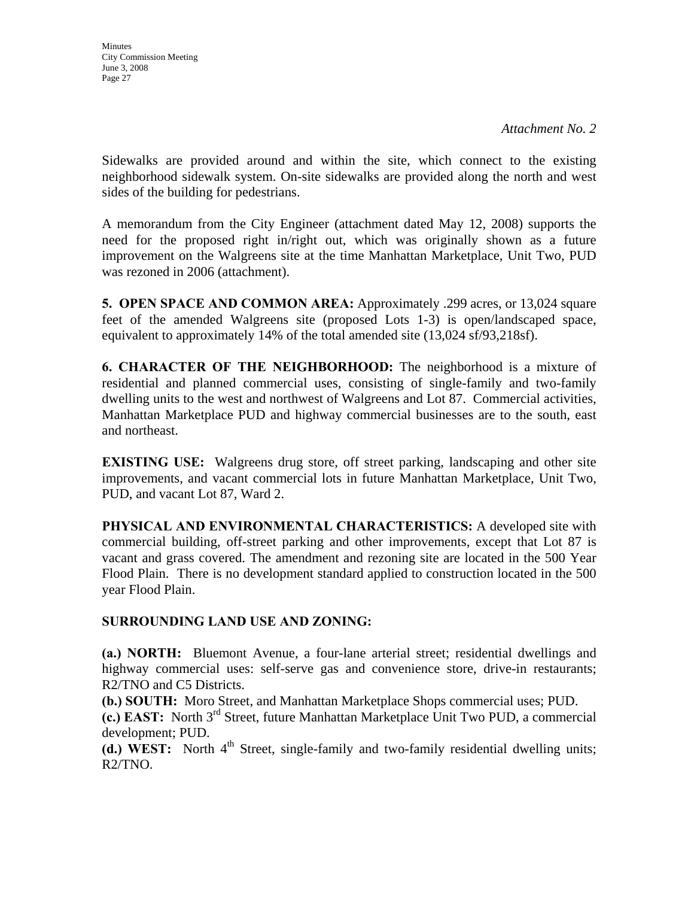Sidewalks are provided around and within the site, which connect to the existing neighborhood sidewalk system. On-site sidewalks are provided along the north and west sides of the building for pedestrians.

A memorandum from the City Engineer (attachment dated May 12, 2008) supports the need for the proposed right in/right out, which was originally shown as a future improvement on the Walgreens site at the time Manhattan Marketplace, Unit Two, PUD was rezoned in 2006 (attachment).

**5. OPEN SPACE AND COMMON AREA:** Approximately .299 acres, or 13,024 square feet of the amended Walgreens site (proposed Lots 1-3) is open/landscaped space, equivalent to approximately 14% of the total amended site (13,024 sf/93,218sf).

**6. CHARACTER OF THE NEIGHBORHOOD:** The neighborhood is a mixture of residential and planned commercial uses, consisting of single-family and two-family dwelling units to the west and northwest of Walgreens and Lot 87. Commercial activities, Manhattan Marketplace PUD and highway commercial businesses are to the south, east and northeast.

**EXISTING USE:** Walgreens drug store, off street parking, landscaping and other site improvements, and vacant commercial lots in future Manhattan Marketplace, Unit Two, PUD, and vacant Lot 87, Ward 2.

**PHYSICAL AND ENVIRONMENTAL CHARACTERISTICS:** A developed site with commercial building, off-street parking and other improvements, except that Lot 87 is vacant and grass covered. The amendment and rezoning site are located in the 500 Year Flood Plain. There is no development standard applied to construction located in the 500 year Flood Plain.

# **SURROUNDING LAND USE AND ZONING:**

**(a.) NORTH:** Bluemont Avenue, a four-lane arterial street; residential dwellings and highway commercial uses: self-serve gas and convenience store, drive-in restaurants; R2/TNO and C5 Districts.

**(b.) SOUTH:** Moro Street, and Manhattan Marketplace Shops commercial uses; PUD.

**(c.) EAST:** North 3rd Street, future Manhattan Marketplace Unit Two PUD, a commercial development; PUD.

**(d.) WEST:** North  $4<sup>th</sup>$  Street, single-family and two-family residential dwelling units; R2/TNO.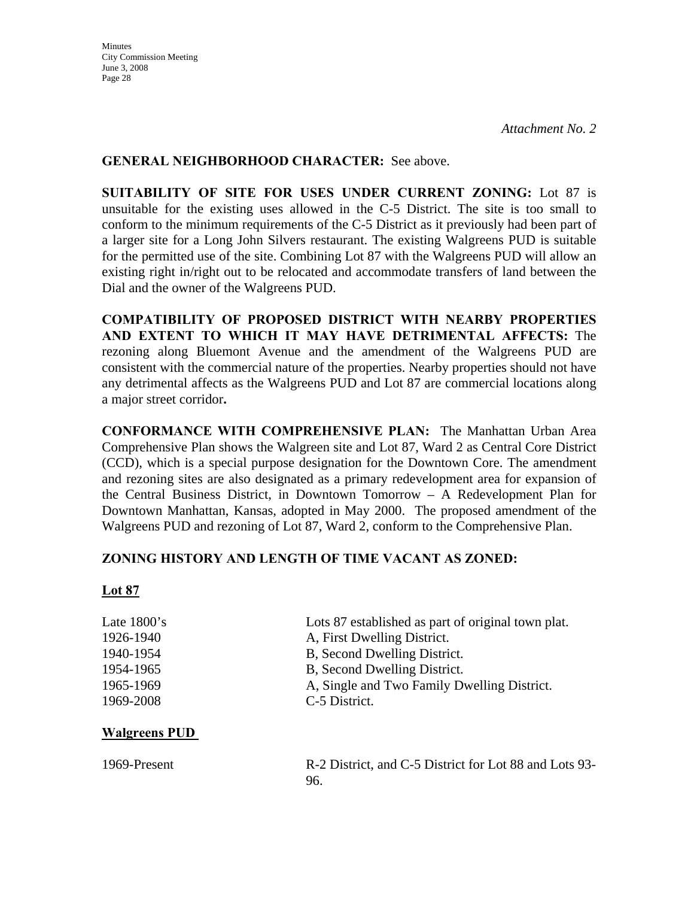## **GENERAL NEIGHBORHOOD CHARACTER:** See above.

**SUITABILITY OF SITE FOR USES UNDER CURRENT ZONING:** Lot 87 is unsuitable for the existing uses allowed in the C-5 District. The site is too small to conform to the minimum requirements of the C-5 District as it previously had been part of a larger site for a Long John Silvers restaurant. The existing Walgreens PUD is suitable for the permitted use of the site. Combining Lot 87 with the Walgreens PUD will allow an existing right in/right out to be relocated and accommodate transfers of land between the Dial and the owner of the Walgreens PUD.

**COMPATIBILITY OF PROPOSED DISTRICT WITH NEARBY PROPERTIES AND EXTENT TO WHICH IT MAY HAVE DETRIMENTAL AFFECTS:** The rezoning along Bluemont Avenue and the amendment of the Walgreens PUD are consistent with the commercial nature of the properties. Nearby properties should not have any detrimental affects as the Walgreens PUD and Lot 87 are commercial locations along a major street corridor**.** 

**CONFORMANCE WITH COMPREHENSIVE PLAN:** The Manhattan Urban Area Comprehensive Plan shows the Walgreen site and Lot 87, Ward 2 as Central Core District (CCD), which is a special purpose designation for the Downtown Core. The amendment and rezoning sites are also designated as a primary redevelopment area for expansion of the Central Business District, in Downtown Tomorrow – A Redevelopment Plan for Downtown Manhattan, Kansas, adopted in May 2000. The proposed amendment of the Walgreens PUD and rezoning of Lot 87, Ward 2, conform to the Comprehensive Plan.

## **ZONING HISTORY AND LENGTH OF TIME VACANT AS ZONED:**

## **Lot 87**

| Late $1800$ 's             | Lots 87 established as part of original town plat. |
|----------------------------|----------------------------------------------------|
| 1926-1940                  | A, First Dwelling District.                        |
| 1940-1954                  | B, Second Dwelling District.                       |
| 1954-1965                  | B, Second Dwelling District.                       |
| 1965-1969                  | A, Single and Two Family Dwelling District.        |
| 1969-2008                  | C-5 District.                                      |
|                            |                                                    |
| $\mathbf{v}$<br><b>DID</b> |                                                    |

## **Walgreens PUD**

| 1969-Present | R-2 District, and C-5 District for Lot 88 and Lots 93- |  |  |
|--------------|--------------------------------------------------------|--|--|
|              |                                                        |  |  |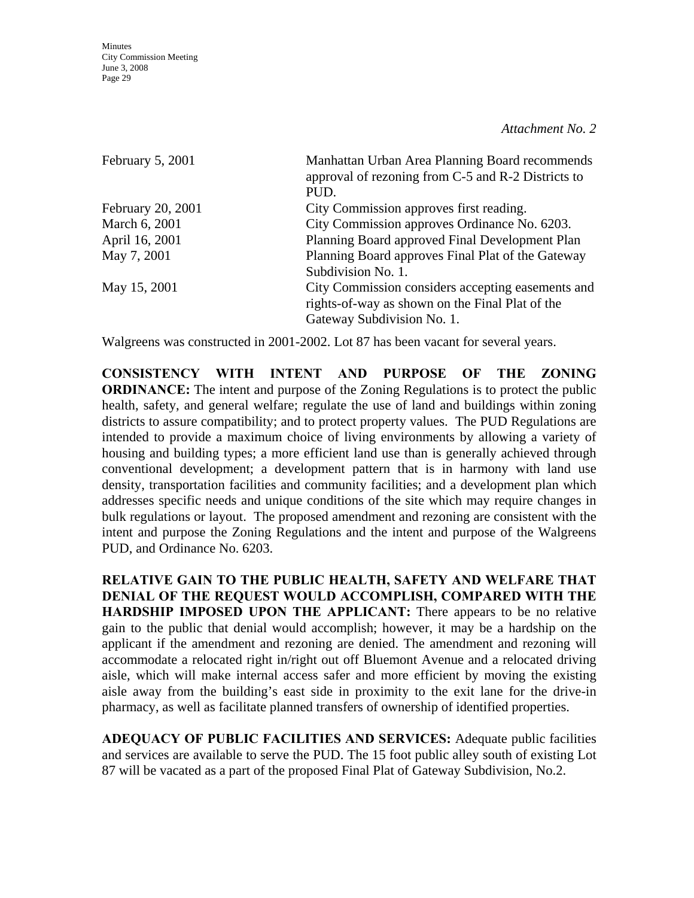*Attachment No. 2*

| February 5, 2001  | Manhattan Urban Area Planning Board recommends<br>approval of rezoning from C-5 and R-2 Districts to |
|-------------------|------------------------------------------------------------------------------------------------------|
|                   | PUD.                                                                                                 |
| February 20, 2001 | City Commission approves first reading.                                                              |
| March 6, 2001     | City Commission approves Ordinance No. 6203.                                                         |
| April 16, 2001    | Planning Board approved Final Development Plan                                                       |
| May 7, 2001       | Planning Board approves Final Plat of the Gateway                                                    |
|                   | Subdivision No. 1.                                                                                   |
| May 15, 2001      | City Commission considers accepting easements and                                                    |
|                   | rights-of-way as shown on the Final Plat of the                                                      |
|                   | Gateway Subdivision No. 1.                                                                           |

Walgreens was constructed in 2001-2002. Lot 87 has been vacant for several years.

**CONSISTENCY WITH INTENT AND PURPOSE OF THE ZONING ORDINANCE:** The intent and purpose of the Zoning Regulations is to protect the public health, safety, and general welfare; regulate the use of land and buildings within zoning districts to assure compatibility; and to protect property values. The PUD Regulations are intended to provide a maximum choice of living environments by allowing a variety of housing and building types; a more efficient land use than is generally achieved through conventional development; a development pattern that is in harmony with land use density, transportation facilities and community facilities; and a development plan which addresses specific needs and unique conditions of the site which may require changes in bulk regulations or layout. The proposed amendment and rezoning are consistent with the intent and purpose the Zoning Regulations and the intent and purpose of the Walgreens PUD, and Ordinance No. 6203.

**RELATIVE GAIN TO THE PUBLIC HEALTH, SAFETY AND WELFARE THAT DENIAL OF THE REQUEST WOULD ACCOMPLISH, COMPARED WITH THE HARDSHIP IMPOSED UPON THE APPLICANT:** There appears to be no relative gain to the public that denial would accomplish; however, it may be a hardship on the applicant if the amendment and rezoning are denied. The amendment and rezoning will accommodate a relocated right in/right out off Bluemont Avenue and a relocated driving aisle, which will make internal access safer and more efficient by moving the existing aisle away from the building's east side in proximity to the exit lane for the drive-in pharmacy, as well as facilitate planned transfers of ownership of identified properties.

**ADEQUACY OF PUBLIC FACILITIES AND SERVICES:** Adequate public facilities and services are available to serve the PUD. The 15 foot public alley south of existing Lot 87 will be vacated as a part of the proposed Final Plat of Gateway Subdivision, No.2.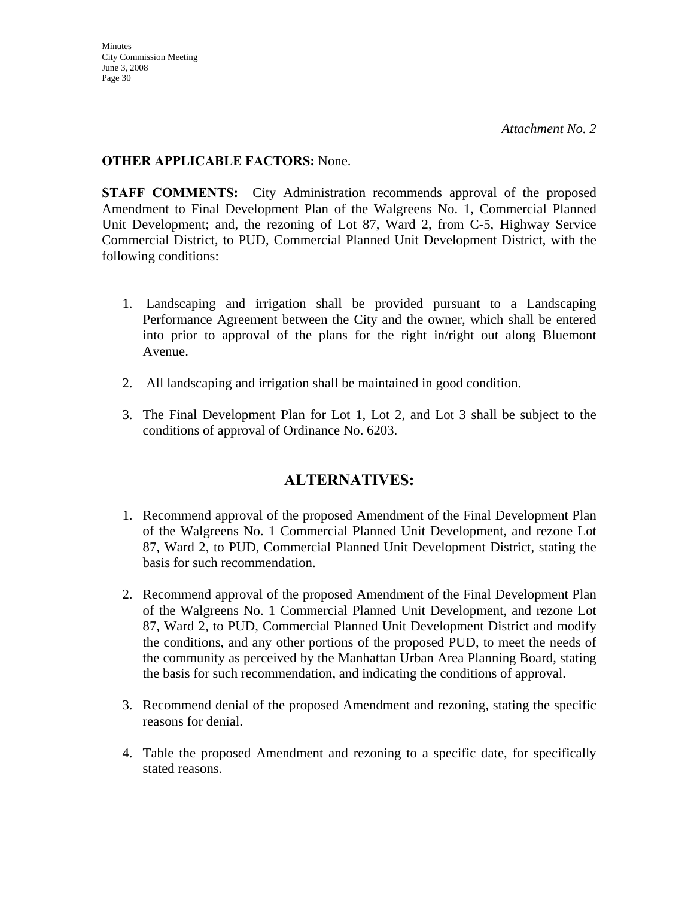# **OTHER APPLICABLE FACTORS:** None.

**STAFF COMMENTS:** City Administration recommends approval of the proposed Amendment to Final Development Plan of the Walgreens No. 1, Commercial Planned Unit Development; and, the rezoning of Lot 87, Ward 2, from C-5, Highway Service Commercial District, to PUD, Commercial Planned Unit Development District, with the following conditions:

- 1. Landscaping and irrigation shall be provided pursuant to a Landscaping Performance Agreement between the City and the owner, which shall be entered into prior to approval of the plans for the right in/right out along Bluemont Avenue.
- 2. All landscaping and irrigation shall be maintained in good condition.
- 3. The Final Development Plan for Lot 1, Lot 2, and Lot 3 shall be subject to the conditions of approval of Ordinance No. 6203.

# **ALTERNATIVES:**

- 1. Recommend approval of the proposed Amendment of the Final Development Plan of the Walgreens No. 1 Commercial Planned Unit Development, and rezone Lot 87, Ward 2, to PUD, Commercial Planned Unit Development District, stating the basis for such recommendation.
- 2. Recommend approval of the proposed Amendment of the Final Development Plan of the Walgreens No. 1 Commercial Planned Unit Development, and rezone Lot 87, Ward 2, to PUD, Commercial Planned Unit Development District and modify the conditions, and any other portions of the proposed PUD, to meet the needs of the community as perceived by the Manhattan Urban Area Planning Board, stating the basis for such recommendation, and indicating the conditions of approval.
- 3. Recommend denial of the proposed Amendment and rezoning, stating the specific reasons for denial.
- 4. Table the proposed Amendment and rezoning to a specific date, for specifically stated reasons.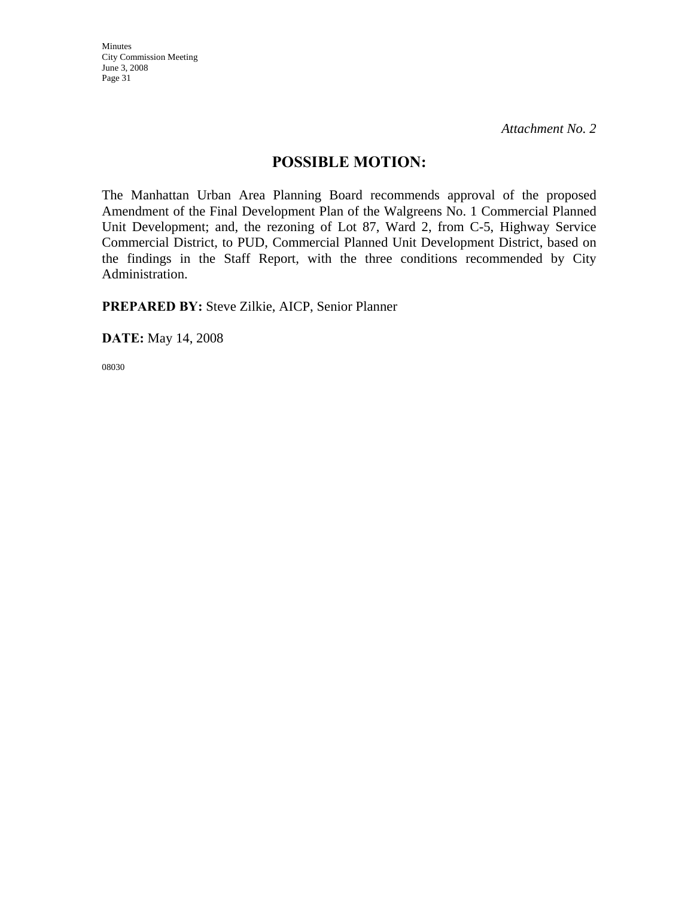# **POSSIBLE MOTION:**

The Manhattan Urban Area Planning Board recommends approval of the proposed Amendment of the Final Development Plan of the Walgreens No. 1 Commercial Planned Unit Development; and, the rezoning of Lot 87, Ward 2, from C-5, Highway Service Commercial District, to PUD, Commercial Planned Unit Development District, based on the findings in the Staff Report, with the three conditions recommended by City Administration.

**PREPARED BY:** Steve Zilkie, AICP, Senior Planner

**DATE:** May 14, 2008

08030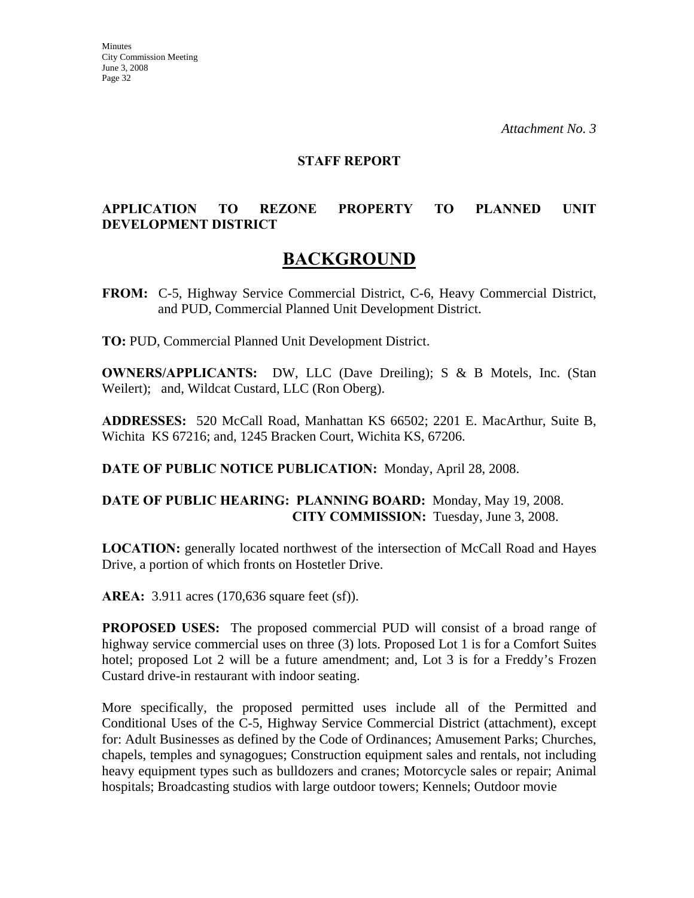#### **STAFF REPORT**

# **APPLICATION TO REZONE PROPERTY TO PLANNED UNIT DEVELOPMENT DISTRICT**

# **BACKGROUND**

**FROM:** C-5, Highway Service Commercial District, C-6, Heavy Commercial District, and PUD, Commercial Planned Unit Development District.

**TO:** PUD, Commercial Planned Unit Development District.

**OWNERS/APPLICANTS:** DW, LLC (Dave Dreiling); S & B Motels, Inc. (Stan Weilert); and, Wildcat Custard, LLC (Ron Oberg).

**ADDRESSES:** 520 McCall Road, Manhattan KS 66502; 2201 E. MacArthur, Suite B, Wichita KS 67216; and, 1245 Bracken Court, Wichita KS, 67206.

**DATE OF PUBLIC NOTICE PUBLICATION:** Monday, April 28, 2008.

#### **DATE OF PUBLIC HEARING: PLANNING BOARD:** Monday, May 19, 2008. **CITY COMMISSION:** Tuesday, June 3, 2008.

**LOCATION:** generally located northwest of the intersection of McCall Road and Hayes Drive, a portion of which fronts on Hostetler Drive.

**AREA:** 3.911 acres (170,636 square feet (sf)).

**PROPOSED USES:** The proposed commercial PUD will consist of a broad range of highway service commercial uses on three (3) lots. Proposed Lot 1 is for a Comfort Suites hotel; proposed Lot 2 will be a future amendment; and, Lot 3 is for a Freddy's Frozen Custard drive-in restaurant with indoor seating.

More specifically, the proposed permitted uses include all of the Permitted and Conditional Uses of the C-5, Highway Service Commercial District (attachment), except for: Adult Businesses as defined by the Code of Ordinances; Amusement Parks; Churches, chapels, temples and synagogues; Construction equipment sales and rentals, not including heavy equipment types such as bulldozers and cranes; Motorcycle sales or repair; Animal hospitals; Broadcasting studios with large outdoor towers; Kennels; Outdoor movie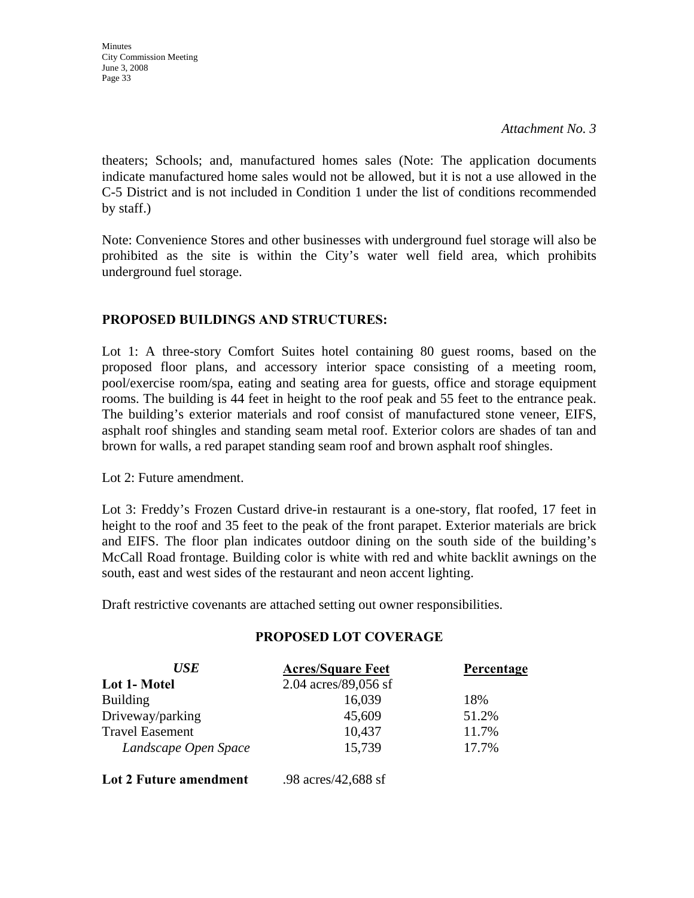*Attachment No. 3*

theaters; Schools; and, manufactured homes sales (Note: The application documents indicate manufactured home sales would not be allowed, but it is not a use allowed in the C-5 District and is not included in Condition 1 under the list of conditions recommended by staff.)

Note: Convenience Stores and other businesses with underground fuel storage will also be prohibited as the site is within the City's water well field area, which prohibits underground fuel storage.

# **PROPOSED BUILDINGS AND STRUCTURES:**

Lot 1: A three-story Comfort Suites hotel containing 80 guest rooms, based on the proposed floor plans, and accessory interior space consisting of a meeting room, pool/exercise room/spa, eating and seating area for guests, office and storage equipment rooms. The building is 44 feet in height to the roof peak and 55 feet to the entrance peak. The building's exterior materials and roof consist of manufactured stone veneer, EIFS, asphalt roof shingles and standing seam metal roof. Exterior colors are shades of tan and brown for walls, a red parapet standing seam roof and brown asphalt roof shingles.

Lot 2: Future amendment.

Lot 3: Freddy's Frozen Custard drive-in restaurant is a one-story, flat roofed, 17 feet in height to the roof and 35 feet to the peak of the front parapet. Exterior materials are brick and EIFS. The floor plan indicates outdoor dining on the south side of the building's McCall Road frontage. Building color is white with red and white backlit awnings on the south, east and west sides of the restaurant and neon accent lighting.

Draft restrictive covenants are attached setting out owner responsibilities.

## **PROPOSED LOT COVERAGE**

| <b>USE</b>             | <b>Acres/Square Feet</b> | Percentage |
|------------------------|--------------------------|------------|
| Lot 1- Motel           | 2.04 $\arccos/89,056$ sf |            |
| <b>Building</b>        | 16,039                   | 18%        |
| Driveway/parking       | 45,609                   | 51.2%      |
| <b>Travel Easement</b> | 10,437                   | 11.7%      |
| Landscape Open Space   | 15,739                   | 17.7%      |
| Lot 2 Future amendment | .98 acres/42,688 sf      |            |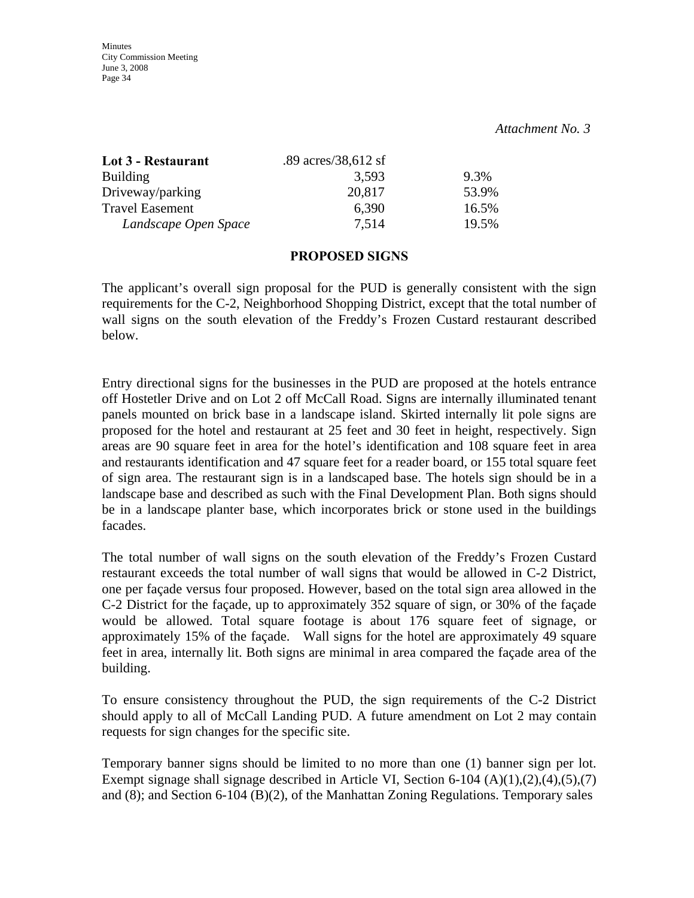#### *Attachment No. 3*

| Lot 3 - Restaurant     | .89 $\arccos/38,612 \text{ sf}$ |       |
|------------------------|---------------------------------|-------|
| <b>Building</b>        | 3.593                           | 9.3%  |
| Driveway/parking       | 20,817                          | 53.9% |
| <b>Travel Easement</b> | 6,390                           | 16.5% |
| Landscape Open Space   | 7.514                           | 19.5% |

#### **PROPOSED SIGNS**

The applicant's overall sign proposal for the PUD is generally consistent with the sign requirements for the C-2, Neighborhood Shopping District, except that the total number of wall signs on the south elevation of the Freddy's Frozen Custard restaurant described below.

Entry directional signs for the businesses in the PUD are proposed at the hotels entrance off Hostetler Drive and on Lot 2 off McCall Road. Signs are internally illuminated tenant panels mounted on brick base in a landscape island. Skirted internally lit pole signs are proposed for the hotel and restaurant at 25 feet and 30 feet in height, respectively. Sign areas are 90 square feet in area for the hotel's identification and 108 square feet in area and restaurants identification and 47 square feet for a reader board, or 155 total square feet of sign area. The restaurant sign is in a landscaped base. The hotels sign should be in a landscape base and described as such with the Final Development Plan. Both signs should be in a landscape planter base, which incorporates brick or stone used in the buildings facades.

The total number of wall signs on the south elevation of the Freddy's Frozen Custard restaurant exceeds the total number of wall signs that would be allowed in C-2 District, one per façade versus four proposed. However, based on the total sign area allowed in the C-2 District for the façade, up to approximately 352 square of sign, or 30% of the façade would be allowed. Total square footage is about 176 square feet of signage, or approximately 15% of the façade. Wall signs for the hotel are approximately 49 square feet in area, internally lit. Both signs are minimal in area compared the façade area of the building.

To ensure consistency throughout the PUD, the sign requirements of the C-2 District should apply to all of McCall Landing PUD. A future amendment on Lot 2 may contain requests for sign changes for the specific site.

Temporary banner signs should be limited to no more than one (1) banner sign per lot. Exempt signage shall signage described in Article VI, Section 6-104 (A)(1),(2),(4),(5),(7) and (8); and Section 6-104 (B)(2), of the Manhattan Zoning Regulations. Temporary sales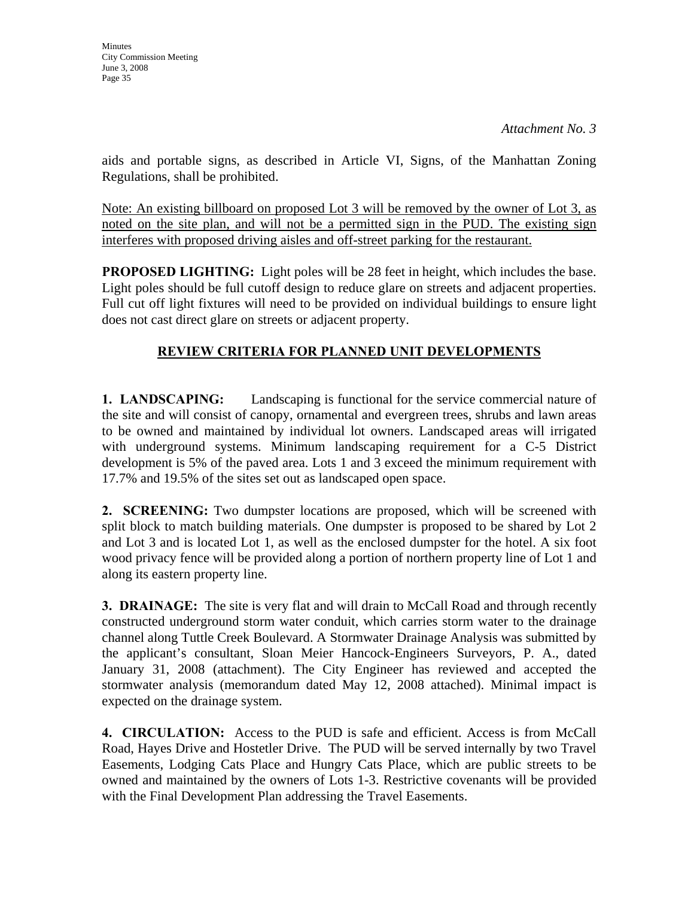*Attachment No. 3*

aids and portable signs, as described in Article VI, Signs, of the Manhattan Zoning Regulations, shall be prohibited.

Note: An existing billboard on proposed Lot 3 will be removed by the owner of Lot 3, as noted on the site plan, and will not be a permitted sign in the PUD. The existing sign interferes with proposed driving aisles and off-street parking for the restaurant.

**PROPOSED LIGHTING:** Light poles will be 28 feet in height, which includes the base. Light poles should be full cutoff design to reduce glare on streets and adjacent properties. Full cut off light fixtures will need to be provided on individual buildings to ensure light does not cast direct glare on streets or adjacent property.

# **REVIEW CRITERIA FOR PLANNED UNIT DEVELOPMENTS**

**1. LANDSCAPING:** Landscaping is functional for the service commercial nature of the site and will consist of canopy, ornamental and evergreen trees, shrubs and lawn areas to be owned and maintained by individual lot owners. Landscaped areas will irrigated with underground systems. Minimum landscaping requirement for a C-5 District development is 5% of the paved area. Lots 1 and 3 exceed the minimum requirement with 17.7% and 19.5% of the sites set out as landscaped open space.

**2. SCREENING:** Two dumpster locations are proposed, which will be screened with split block to match building materials. One dumpster is proposed to be shared by Lot 2 and Lot 3 and is located Lot 1, as well as the enclosed dumpster for the hotel. A six foot wood privacy fence will be provided along a portion of northern property line of Lot 1 and along its eastern property line.

**3. DRAINAGE:** The site is very flat and will drain to McCall Road and through recently constructed underground storm water conduit, which carries storm water to the drainage channel along Tuttle Creek Boulevard. A Stormwater Drainage Analysis was submitted by the applicant's consultant, Sloan Meier Hancock-Engineers Surveyors, P. A., dated January 31, 2008 (attachment). The City Engineer has reviewed and accepted the stormwater analysis (memorandum dated May 12, 2008 attached). Minimal impact is expected on the drainage system.

**4. CIRCULATION:** Access to the PUD is safe and efficient. Access is from McCall Road, Hayes Drive and Hostetler Drive. The PUD will be served internally by two Travel Easements, Lodging Cats Place and Hungry Cats Place, which are public streets to be owned and maintained by the owners of Lots 1-3. Restrictive covenants will be provided with the Final Development Plan addressing the Travel Easements.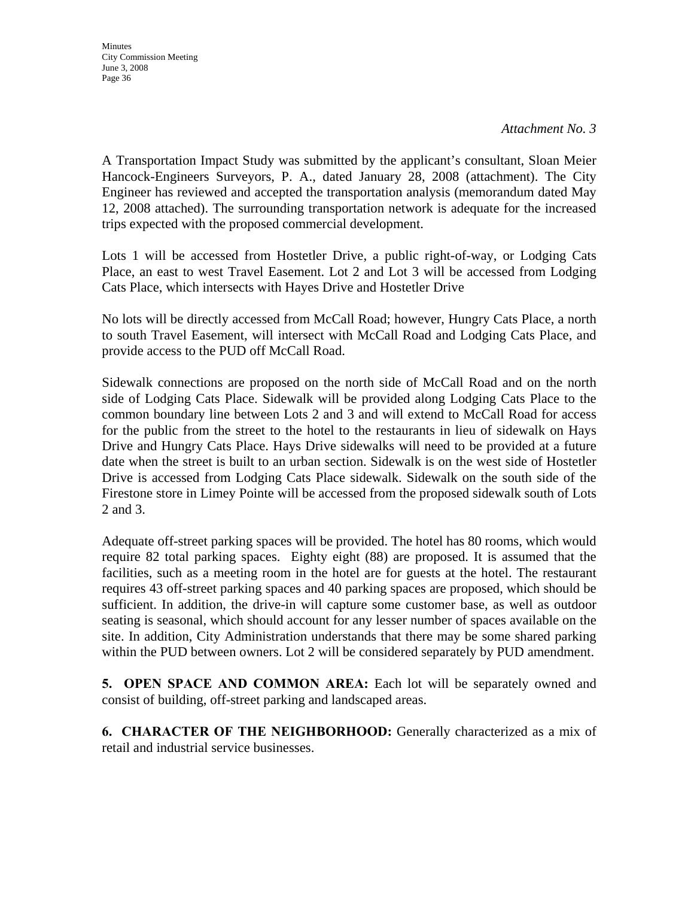*Attachment No. 3*

A Transportation Impact Study was submitted by the applicant's consultant, Sloan Meier Hancock-Engineers Surveyors, P. A., dated January 28, 2008 (attachment). The City Engineer has reviewed and accepted the transportation analysis (memorandum dated May 12, 2008 attached). The surrounding transportation network is adequate for the increased trips expected with the proposed commercial development.

Lots 1 will be accessed from Hostetler Drive, a public right-of-way, or Lodging Cats Place, an east to west Travel Easement. Lot 2 and Lot 3 will be accessed from Lodging Cats Place, which intersects with Hayes Drive and Hostetler Drive

No lots will be directly accessed from McCall Road; however, Hungry Cats Place, a north to south Travel Easement, will intersect with McCall Road and Lodging Cats Place, and provide access to the PUD off McCall Road.

Sidewalk connections are proposed on the north side of McCall Road and on the north side of Lodging Cats Place. Sidewalk will be provided along Lodging Cats Place to the common boundary line between Lots 2 and 3 and will extend to McCall Road for access for the public from the street to the hotel to the restaurants in lieu of sidewalk on Hays Drive and Hungry Cats Place. Hays Drive sidewalks will need to be provided at a future date when the street is built to an urban section. Sidewalk is on the west side of Hostetler Drive is accessed from Lodging Cats Place sidewalk. Sidewalk on the south side of the Firestone store in Limey Pointe will be accessed from the proposed sidewalk south of Lots 2 and 3.

Adequate off-street parking spaces will be provided. The hotel has 80 rooms, which would require 82 total parking spaces. Eighty eight (88) are proposed. It is assumed that the facilities, such as a meeting room in the hotel are for guests at the hotel. The restaurant requires 43 off-street parking spaces and 40 parking spaces are proposed, which should be sufficient. In addition, the drive-in will capture some customer base, as well as outdoor seating is seasonal, which should account for any lesser number of spaces available on the site. In addition, City Administration understands that there may be some shared parking within the PUD between owners. Lot 2 will be considered separately by PUD amendment.

**5. OPEN SPACE AND COMMON AREA:** Each lot will be separately owned and consist of building, off-street parking and landscaped areas.

**6. CHARACTER OF THE NEIGHBORHOOD:** Generally characterized as a mix of retail and industrial service businesses.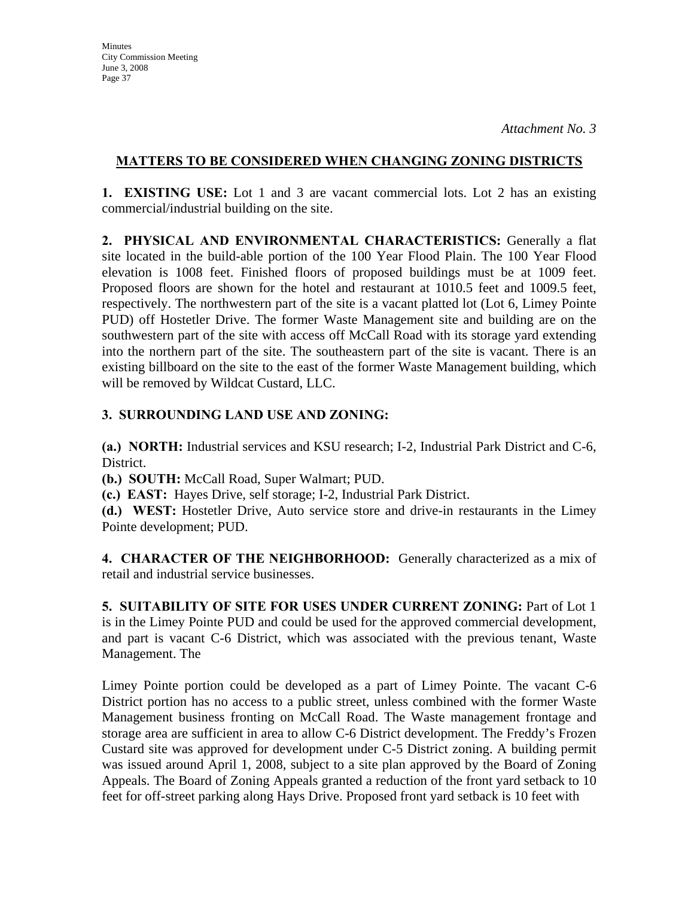## **MATTERS TO BE CONSIDERED WHEN CHANGING ZONING DISTRICTS**

**1. EXISTING USE:** Lot 1 and 3 are vacant commercial lots. Lot 2 has an existing commercial/industrial building on the site.

**2. PHYSICAL AND ENVIRONMENTAL CHARACTERISTICS:** Generally a flat site located in the build-able portion of the 100 Year Flood Plain. The 100 Year Flood elevation is 1008 feet. Finished floors of proposed buildings must be at 1009 feet. Proposed floors are shown for the hotel and restaurant at 1010.5 feet and 1009.5 feet, respectively. The northwestern part of the site is a vacant platted lot (Lot 6, Limey Pointe PUD) off Hostetler Drive. The former Waste Management site and building are on the southwestern part of the site with access off McCall Road with its storage yard extending into the northern part of the site. The southeastern part of the site is vacant. There is an existing billboard on the site to the east of the former Waste Management building, which will be removed by Wildcat Custard, LLC.

## **3. SURROUNDING LAND USE AND ZONING:**

**(a.) NORTH:** Industrial services and KSU research; I-2, Industrial Park District and C-6, District.

**(b.) SOUTH:** McCall Road, Super Walmart; PUD.

**(c.) EAST:** Hayes Drive, self storage; I-2, Industrial Park District.

**(d.) WEST:** Hostetler Drive, Auto service store and drive-in restaurants in the Limey Pointe development; PUD.

**4. CHARACTER OF THE NEIGHBORHOOD:** Generally characterized as a mix of retail and industrial service businesses.

**5. SUITABILITY OF SITE FOR USES UNDER CURRENT ZONING:** Part of Lot 1 is in the Limey Pointe PUD and could be used for the approved commercial development, and part is vacant C-6 District, which was associated with the previous tenant, Waste Management. The

Limey Pointe portion could be developed as a part of Limey Pointe. The vacant C-6 District portion has no access to a public street, unless combined with the former Waste Management business fronting on McCall Road. The Waste management frontage and storage area are sufficient in area to allow C-6 District development. The Freddy's Frozen Custard site was approved for development under C-5 District zoning. A building permit was issued around April 1, 2008, subject to a site plan approved by the Board of Zoning Appeals. The Board of Zoning Appeals granted a reduction of the front yard setback to 10 feet for off-street parking along Hays Drive. Proposed front yard setback is 10 feet with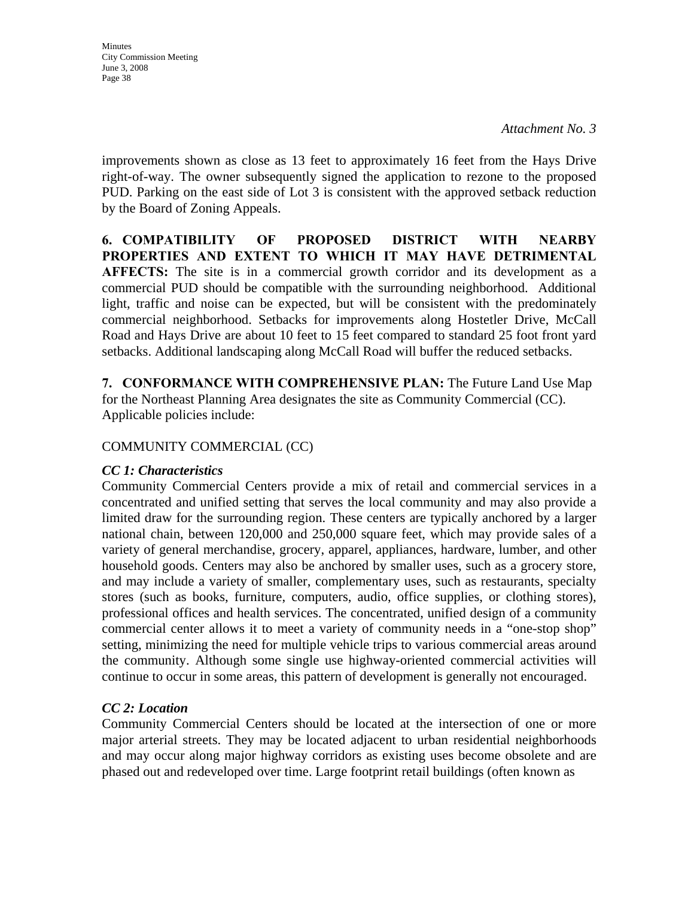*Attachment No. 3*

improvements shown as close as 13 feet to approximately 16 feet from the Hays Drive right-of-way. The owner subsequently signed the application to rezone to the proposed PUD. Parking on the east side of Lot 3 is consistent with the approved setback reduction by the Board of Zoning Appeals.

**6. COMPATIBILITY OF PROPOSED DISTRICT WITH NEARBY PROPERTIES AND EXTENT TO WHICH IT MAY HAVE DETRIMENTAL AFFECTS:** The site is in a commercial growth corridor and its development as a commercial PUD should be compatible with the surrounding neighborhood. Additional light, traffic and noise can be expected, but will be consistent with the predominately commercial neighborhood. Setbacks for improvements along Hostetler Drive, McCall Road and Hays Drive are about 10 feet to 15 feet compared to standard 25 foot front yard setbacks. Additional landscaping along McCall Road will buffer the reduced setbacks.

**7. CONFORMANCE WITH COMPREHENSIVE PLAN:** The Future Land Use Map for the Northeast Planning Area designates the site as Community Commercial (CC). Applicable policies include:

## COMMUNITY COMMERCIAL (CC)

## *CC 1: Characteristics*

Community Commercial Centers provide a mix of retail and commercial services in a concentrated and unified setting that serves the local community and may also provide a limited draw for the surrounding region. These centers are typically anchored by a larger national chain, between 120,000 and 250,000 square feet, which may provide sales of a variety of general merchandise, grocery, apparel, appliances, hardware, lumber, and other household goods. Centers may also be anchored by smaller uses, such as a grocery store, and may include a variety of smaller, complementary uses, such as restaurants, specialty stores (such as books, furniture, computers, audio, office supplies, or clothing stores), professional offices and health services. The concentrated, unified design of a community commercial center allows it to meet a variety of community needs in a "one-stop shop" setting, minimizing the need for multiple vehicle trips to various commercial areas around the community. Although some single use highway-oriented commercial activities will continue to occur in some areas, this pattern of development is generally not encouraged.

# *CC 2: Location*

Community Commercial Centers should be located at the intersection of one or more major arterial streets. They may be located adjacent to urban residential neighborhoods and may occur along major highway corridors as existing uses become obsolete and are phased out and redeveloped over time. Large footprint retail buildings (often known as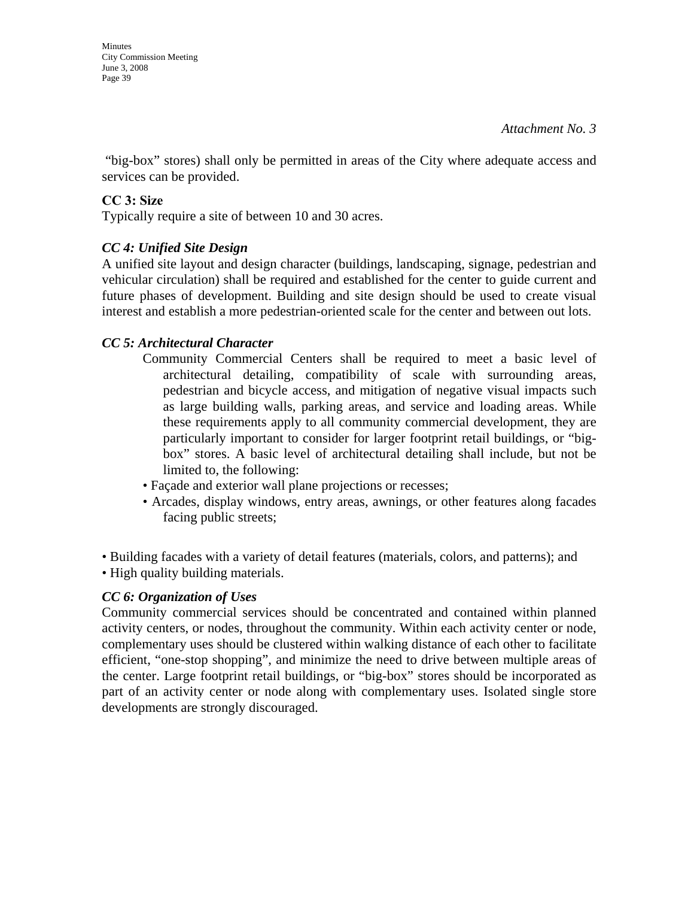**Minutes** City Commission Meeting June 3, 2008 Page 39

 "big-box" stores) shall only be permitted in areas of the City where adequate access and services can be provided.

# **CC 3: Size**

Typically require a site of between 10 and 30 acres.

# *CC 4: Unified Site Design*

A unified site layout and design character (buildings, landscaping, signage, pedestrian and vehicular circulation) shall be required and established for the center to guide current and future phases of development. Building and site design should be used to create visual interest and establish a more pedestrian-oriented scale for the center and between out lots.

# *CC 5: Architectural Character*

- Community Commercial Centers shall be required to meet a basic level of architectural detailing, compatibility of scale with surrounding areas, pedestrian and bicycle access, and mitigation of negative visual impacts such as large building walls, parking areas, and service and loading areas. While these requirements apply to all community commercial development, they are particularly important to consider for larger footprint retail buildings, or "bigbox" stores. A basic level of architectural detailing shall include, but not be limited to, the following:
- Façade and exterior wall plane projections or recesses;
- Arcades, display windows, entry areas, awnings, or other features along facades facing public streets;
- Building facades with a variety of detail features (materials, colors, and patterns); and
- High quality building materials.

# *CC 6: Organization of Uses*

Community commercial services should be concentrated and contained within planned activity centers, or nodes, throughout the community. Within each activity center or node, complementary uses should be clustered within walking distance of each other to facilitate efficient, "one-stop shopping", and minimize the need to drive between multiple areas of the center. Large footprint retail buildings, or "big-box" stores should be incorporated as part of an activity center or node along with complementary uses. Isolated single store developments are strongly discouraged.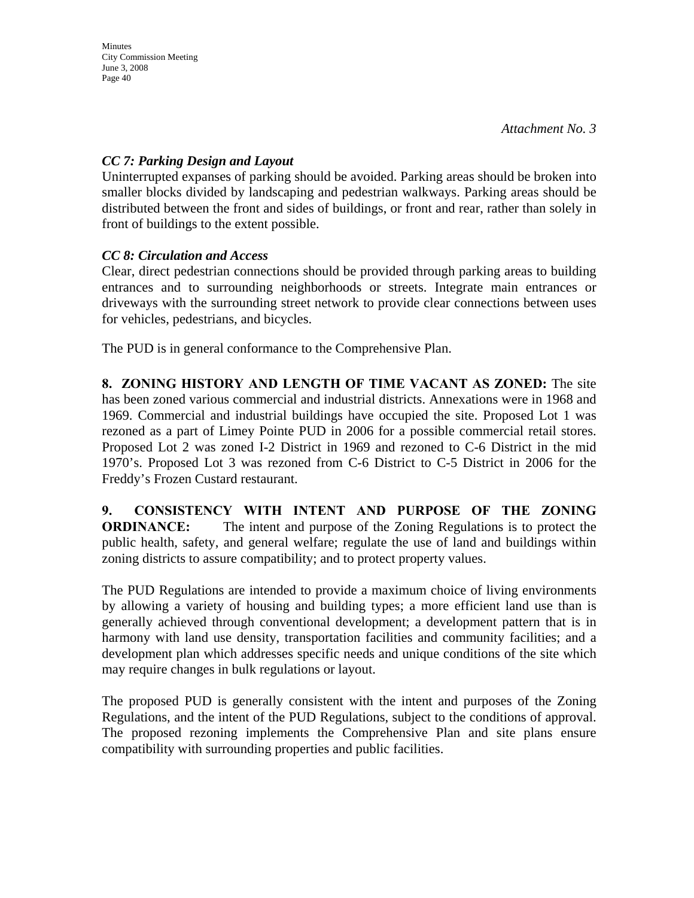# *CC 7: Parking Design and Layout*

Uninterrupted expanses of parking should be avoided. Parking areas should be broken into smaller blocks divided by landscaping and pedestrian walkways. Parking areas should be distributed between the front and sides of buildings, or front and rear, rather than solely in front of buildings to the extent possible.

# *CC 8: Circulation and Access*

Clear, direct pedestrian connections should be provided through parking areas to building entrances and to surrounding neighborhoods or streets. Integrate main entrances or driveways with the surrounding street network to provide clear connections between uses for vehicles, pedestrians, and bicycles.

The PUD is in general conformance to the Comprehensive Plan.

**8. ZONING HISTORY AND LENGTH OF TIME VACANT AS ZONED:** The site has been zoned various commercial and industrial districts. Annexations were in 1968 and 1969. Commercial and industrial buildings have occupied the site. Proposed Lot 1 was rezoned as a part of Limey Pointe PUD in 2006 for a possible commercial retail stores. Proposed Lot 2 was zoned I-2 District in 1969 and rezoned to C-6 District in the mid 1970's. Proposed Lot 3 was rezoned from C-6 District to C-5 District in 2006 for the Freddy's Frozen Custard restaurant.

**9. CONSISTENCY WITH INTENT AND PURPOSE OF THE ZONING ORDINANCE:** The intent and purpose of the Zoning Regulations is to protect the public health, safety, and general welfare; regulate the use of land and buildings within zoning districts to assure compatibility; and to protect property values.

The PUD Regulations are intended to provide a maximum choice of living environments by allowing a variety of housing and building types; a more efficient land use than is generally achieved through conventional development; a development pattern that is in harmony with land use density, transportation facilities and community facilities; and a development plan which addresses specific needs and unique conditions of the site which may require changes in bulk regulations or layout.

The proposed PUD is generally consistent with the intent and purposes of the Zoning Regulations, and the intent of the PUD Regulations, subject to the conditions of approval. The proposed rezoning implements the Comprehensive Plan and site plans ensure compatibility with surrounding properties and public facilities.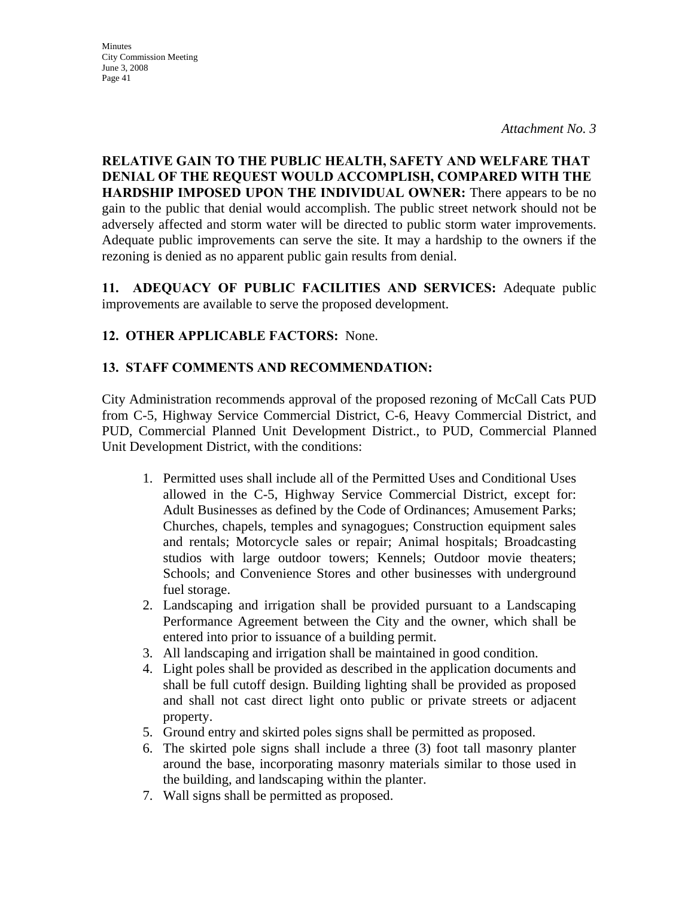*Attachment No. 3*

**RELATIVE GAIN TO THE PUBLIC HEALTH, SAFETY AND WELFARE THAT DENIAL OF THE REQUEST WOULD ACCOMPLISH, COMPARED WITH THE HARDSHIP IMPOSED UPON THE INDIVIDUAL OWNER:** There appears to be no gain to the public that denial would accomplish. The public street network should not be adversely affected and storm water will be directed to public storm water improvements. Adequate public improvements can serve the site. It may a hardship to the owners if the rezoning is denied as no apparent public gain results from denial.

**11. ADEQUACY OF PUBLIC FACILITIES AND SERVICES:** Adequate public improvements are available to serve the proposed development.

# **12. OTHER APPLICABLE FACTORS:** None.

# **13. STAFF COMMENTS AND RECOMMENDATION:**

City Administration recommends approval of the proposed rezoning of McCall Cats PUD from C-5, Highway Service Commercial District, C-6, Heavy Commercial District, and PUD, Commercial Planned Unit Development District., to PUD, Commercial Planned Unit Development District, with the conditions:

- 1. Permitted uses shall include all of the Permitted Uses and Conditional Uses allowed in the C-5, Highway Service Commercial District, except for: Adult Businesses as defined by the Code of Ordinances; Amusement Parks; Churches, chapels, temples and synagogues; Construction equipment sales and rentals; Motorcycle sales or repair; Animal hospitals; Broadcasting studios with large outdoor towers; Kennels; Outdoor movie theaters; Schools; and Convenience Stores and other businesses with underground fuel storage.
- 2. Landscaping and irrigation shall be provided pursuant to a Landscaping Performance Agreement between the City and the owner, which shall be entered into prior to issuance of a building permit.
- 3. All landscaping and irrigation shall be maintained in good condition.
- 4. Light poles shall be provided as described in the application documents and shall be full cutoff design. Building lighting shall be provided as proposed and shall not cast direct light onto public or private streets or adjacent property.
- 5. Ground entry and skirted poles signs shall be permitted as proposed.
- 6. The skirted pole signs shall include a three (3) foot tall masonry planter around the base, incorporating masonry materials similar to those used in the building, and landscaping within the planter.
- 7. Wall signs shall be permitted as proposed.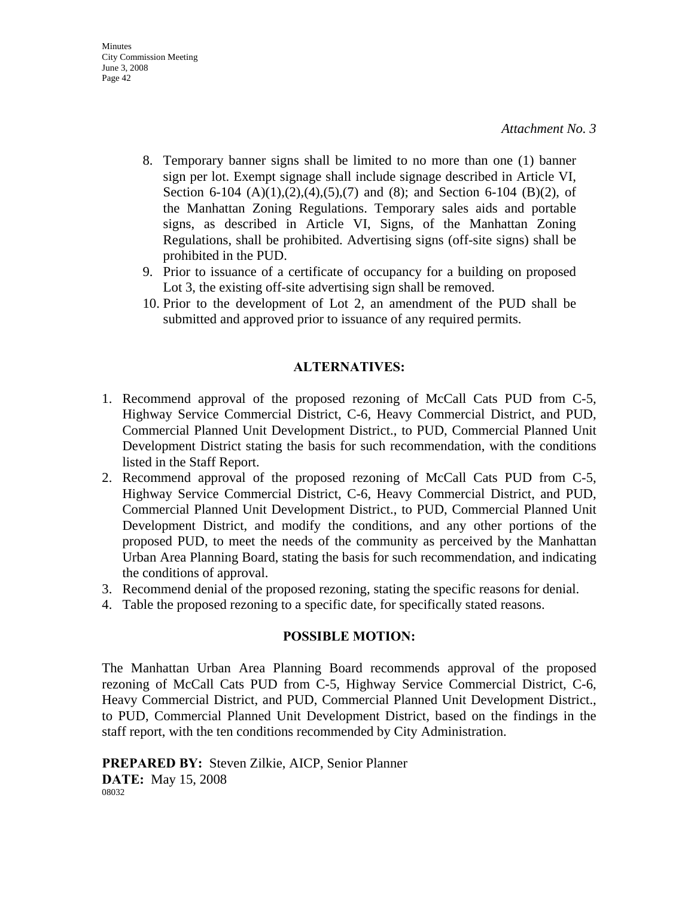- 8. Temporary banner signs shall be limited to no more than one (1) banner sign per lot. Exempt signage shall include signage described in Article VI, Section 6-104  $(A)(1),(2),(4),(5),(7)$  and  $(8)$ ; and Section 6-104  $(B)(2)$ , of the Manhattan Zoning Regulations. Temporary sales aids and portable signs, as described in Article VI, Signs, of the Manhattan Zoning Regulations, shall be prohibited. Advertising signs (off-site signs) shall be prohibited in the PUD.
- 9. Prior to issuance of a certificate of occupancy for a building on proposed Lot 3, the existing off-site advertising sign shall be removed.
- 10. Prior to the development of Lot 2, an amendment of the PUD shall be submitted and approved prior to issuance of any required permits.

#### **ALTERNATIVES:**

- 1. Recommend approval of the proposed rezoning of McCall Cats PUD from C-5, Highway Service Commercial District, C-6, Heavy Commercial District, and PUD, Commercial Planned Unit Development District., to PUD, Commercial Planned Unit Development District stating the basis for such recommendation, with the conditions listed in the Staff Report.
- 2. Recommend approval of the proposed rezoning of McCall Cats PUD from C-5, Highway Service Commercial District, C-6, Heavy Commercial District, and PUD, Commercial Planned Unit Development District., to PUD, Commercial Planned Unit Development District, and modify the conditions, and any other portions of the proposed PUD, to meet the needs of the community as perceived by the Manhattan Urban Area Planning Board, stating the basis for such recommendation, and indicating the conditions of approval.
- 3. Recommend denial of the proposed rezoning, stating the specific reasons for denial.
- 4. Table the proposed rezoning to a specific date, for specifically stated reasons.

#### **POSSIBLE MOTION:**

The Manhattan Urban Area Planning Board recommends approval of the proposed rezoning of McCall Cats PUD from C-5, Highway Service Commercial District, C-6, Heavy Commercial District, and PUD, Commercial Planned Unit Development District., to PUD, Commercial Planned Unit Development District, based on the findings in the staff report, with the ten conditions recommended by City Administration.

**PREPARED BY:** Steven Zilkie, AICP, Senior Planner **DATE:** May 15, 2008 08032